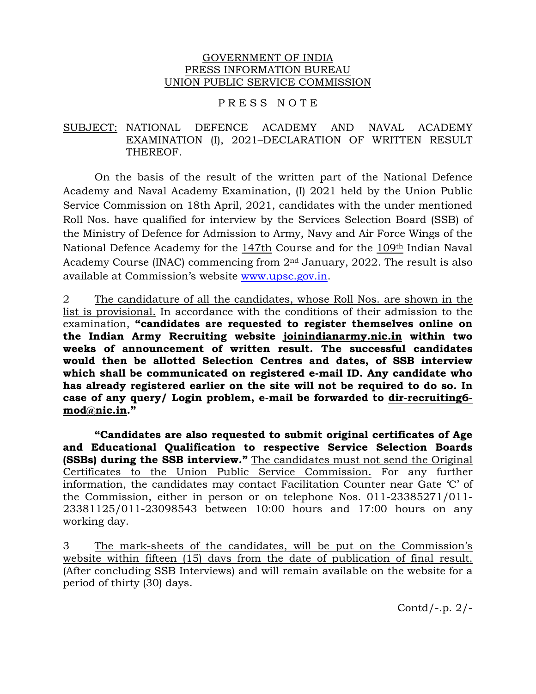#### GOVERNMENT OF INDIA PRESS INFORMATION BUREAU UNION PUBLIC SERVICE COMMISSION

#### PRESS NOTE

## SUBJECT: NATIONAL DEFENCE ACADEMY AND NAVAL ACADEMY EXAMINATION (I), 2021–DECLARATION OF WRITTEN RESULT THEREOF.

On the basis of the result of the written part of the National Defence Academy and Naval Academy Examination, (I) 2021 held by the Union Public Service Commission on 18th April, 2021, candidates with the under mentioned Roll Nos. have qualified for interview by the Services Selection Board (SSB) of the Ministry of Defence for Admission to Army, Navy and Air Force Wings of the National Defence Academy for the 147th Course and for the 109th Indian Naval Academy Course (INAC) commencing from 2nd January, 2022. The result is also available at Commission's website www.upsc.gov.in.

2 The candidature of all the candidates, whose Roll Nos. are shown in the list is provisional. In accordance with the conditions of their admission to the examination, **"candidates are requested to register themselves online on the Indian Army Recruiting website joinindianarmy.nic.in within two weeks of announcement of written result. The successful candidates would then be allotted Selection Centres and dates, of SSB interview which shall be communicated on registered e-mail ID. Any candidate who has already registered earlier on the site will not be required to do so. In case of any query/ Login problem, e-mail be forwarded to dir-recruiting6 mod@nic.in."** 

 **"Candidates are also requested to submit original certificates of Age and Educational Qualification to respective Service Selection Boards (SSBs) during the SSB interview."** The candidates must not send the Original Certificates to the Union Public Service Commission. For any further information, the candidates may contact Facilitation Counter near Gate 'C' of the Commission, either in person or on telephone Nos. 011-23385271/011- 23381125/011-23098543 between 10:00 hours and 17:00 hours on any working day.

3 The mark-sheets of the candidates, will be put on the Commission's website within fifteen (15) days from the date of publication of final result. (After concluding SSB Interviews) and will remain available on the website for a period of thirty (30) days.

Contd/-.p. 2/-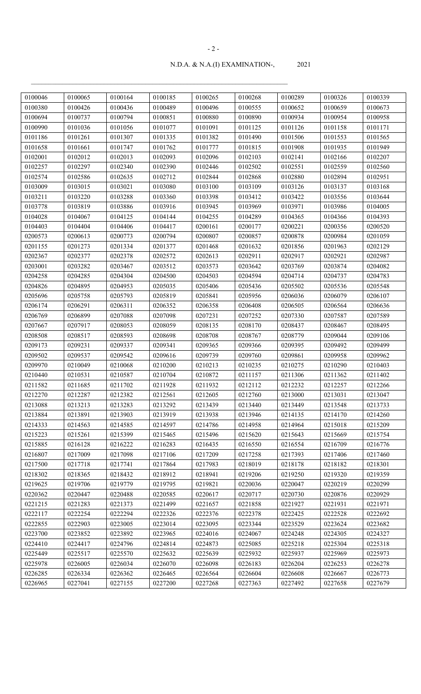| 0100046 | 0100065 | 0100164 | 0100185 | 0100265 | 0100268 | 0100289 | 0100326 | 0100339 |
|---------|---------|---------|---------|---------|---------|---------|---------|---------|
| 0100380 | 0100426 | 0100436 | 0100489 | 0100496 | 0100555 | 0100652 | 0100659 | 0100673 |
| 0100694 | 0100737 | 0100794 | 0100851 | 0100880 | 0100890 | 0100934 | 0100954 | 0100958 |
| 0100990 | 0101036 | 0101056 | 0101077 | 0101091 | 0101125 | 0101126 | 0101158 | 0101171 |
| 0101186 | 0101261 | 0101307 | 0101335 | 0101382 | 0101490 | 0101506 | 0101553 | 0101565 |
| 0101658 | 0101661 | 0101747 | 0101762 | 0101777 | 0101815 | 0101908 | 0101935 | 0101949 |
| 0102001 | 0102012 | 0102013 | 0102093 | 0102096 | 0102103 | 0102141 | 0102166 | 0102207 |
| 0102257 | 0102297 | 0102340 | 0102390 | 0102446 | 0102502 | 0102551 | 0102559 | 0102560 |
| 0102574 | 0102586 | 0102635 | 0102712 | 0102844 | 0102868 | 0102880 | 0102894 | 0102951 |
| 0103009 | 0103015 | 0103021 | 0103080 | 0103100 | 0103109 | 0103126 | 0103137 | 0103168 |
| 0103211 | 0103220 | 0103288 | 0103360 | 0103398 | 0103412 | 0103422 | 0103556 | 0103644 |
| 0103778 | 0103819 | 0103886 | 0103916 | 0103945 | 0103969 | 0103971 | 0103986 | 0104005 |
| 0104028 | 0104067 | 0104125 | 0104144 | 0104255 | 0104289 | 0104365 | 0104366 | 0104393 |
| 0104403 | 0104404 | 0104406 | 0104417 | 0200161 | 0200177 | 0200221 | 0200356 | 0200520 |
| 0200573 | 0200613 | 0200773 | 0200794 | 0200807 | 0200857 | 0200878 | 0200984 | 0201059 |
| 0201155 | 0201273 | 0201334 | 0201377 | 0201468 | 0201632 | 0201856 | 0201963 | 0202129 |
| 0202367 | 0202377 | 0202378 | 0202572 | 0202613 | 0202911 | 0202917 | 0202921 | 0202987 |
| 0203001 | 0203282 | 0203467 | 0203512 | 0203573 | 0203642 | 0203769 | 0203874 | 0204082 |
| 0204258 | 0204285 | 0204304 | 0204500 | 0204503 | 0204594 | 0204714 | 0204737 | 0204783 |
| 0204826 | 0204895 | 0204953 | 0205035 | 0205406 | 0205436 | 0205502 | 0205536 | 0205548 |
| 0205696 | 0205758 | 0205793 | 0205819 | 0205841 | 0205956 | 0206036 | 0206079 | 0206107 |
| 0206174 | 0206291 | 0206311 | 0206352 | 0206358 | 0206408 | 0206505 | 0206564 | 0206636 |
| 0206769 | 0206899 | 0207088 | 0207098 | 0207231 | 0207252 | 0207330 | 0207587 | 0207589 |
| 0207667 | 0207917 | 0208053 | 0208059 | 0208135 | 0208170 | 0208437 | 0208467 | 0208495 |
| 0208508 | 0208517 | 0208593 | 0208698 | 0208708 | 0208767 | 0208779 | 0209044 | 0209106 |
| 0209173 | 0209231 | 0209337 | 0209341 | 0209365 | 0209366 | 0209395 | 0209492 | 0209499 |
| 0209502 | 0209537 | 0209542 | 0209616 | 0209739 | 0209760 | 0209861 | 0209958 | 0209962 |
| 0209970 | 0210049 | 0210068 | 0210200 | 0210213 | 0210235 | 0210275 | 0210290 | 0210403 |
| 0210440 | 0210531 | 0210587 | 0210704 | 0210872 | 0211157 | 0211306 | 0211362 | 0211402 |
| 0211582 | 0211685 | 0211702 | 0211928 | 0211932 | 0212112 | 0212232 | 0212257 | 0212266 |
| 0212270 | 0212287 | 0212382 | 0212561 | 0212605 | 0212760 | 0213000 | 0213031 | 0213047 |
| 0213088 | 0213213 | 0213283 | 0213292 | 0213439 | 0213440 | 0213449 | 0213548 | 0213733 |
| 0213884 | 0213891 | 0213903 | 0213919 | 0213938 | 0213946 | 0214135 | 0214170 | 0214260 |
| 0214333 | 0214563 | 0214585 | 0214597 | 0214786 | 0214958 | 0214964 | 0215018 | 0215209 |
| 0215223 | 0215261 | 0215399 | 0215465 | 0215496 | 0215620 | 0215643 | 0215669 | 0215754 |
| 0215885 | 0216128 | 0216222 | 0216283 | 0216435 | 0216550 | 0216554 | 0216709 | 0216776 |
| 0216807 | 0217009 | 0217098 | 0217106 | 0217209 | 0217258 | 0217393 | 0217406 | 0217460 |
| 0217500 | 0217718 | 0217741 | 0217864 | 0217983 | 0218019 | 0218178 | 0218182 | 0218301 |
| 0218302 | 0218365 | 0218432 | 0218912 | 0218941 | 0219206 | 0219250 | 0219320 | 0219359 |
| 0219625 | 0219706 | 0219779 | 0219795 | 0219821 | 0220036 | 0220047 | 0220219 | 0220299 |
| 0220362 | 0220447 | 0220488 | 0220585 | 0220617 | 0220717 | 0220730 | 0220876 | 0220929 |
| 0221215 | 0221283 | 0221373 | 0221499 | 0221657 | 0221858 | 0221927 | 0221931 | 0221971 |
| 0222117 | 0222254 | 0222294 | 0222326 | 0222376 | 0222378 | 0222425 | 0222528 | 0222692 |
| 0222855 | 0222903 | 0223005 | 0223014 | 0223095 | 0223344 | 0223529 | 0223624 | 0223682 |
| 0223700 | 0223852 | 0223892 | 0223965 | 0224016 | 0224067 | 0224248 | 0224305 | 0224327 |
| 0224410 | 0224417 | 0224796 | 0224814 | 0224873 | 0225085 | 0225218 | 0225304 | 0225318 |
| 0225449 | 0225517 | 0225570 | 0225632 | 0225639 | 0225932 | 0225937 | 0225969 | 0225973 |
| 0225978 | 0226005 | 0226034 | 0226070 | 0226098 | 0226183 | 0226204 | 0226253 | 0226278 |
| 0226285 | 0226334 | 0226362 | 0226465 | 0226564 | 0226604 | 0226608 | 0226667 | 0226773 |
| 0226965 | 0227041 | 0227155 | 0227200 | 0227268 | 0227363 | 0227492 | 0227658 | 0227679 |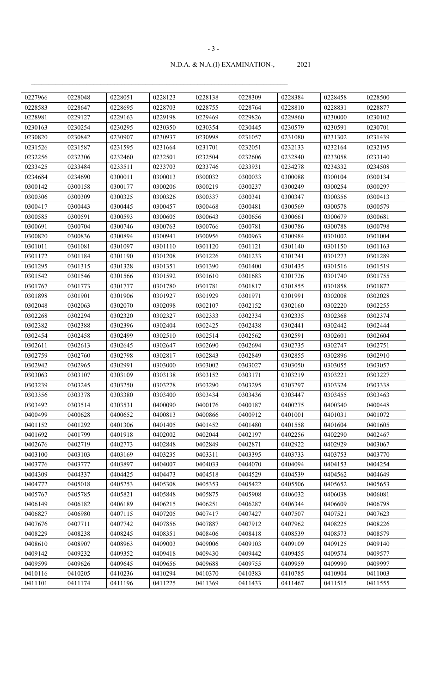| 0227966 | 0228048 | 0228051 | 0228123 | 0228138 | 0228309 | 0228384 | 0228458 | 0228500 |
|---------|---------|---------|---------|---------|---------|---------|---------|---------|
| 0228583 | 0228647 | 0228695 | 0228703 | 0228755 | 0228764 | 0228810 | 0228831 | 0228877 |
| 0228981 | 0229127 | 0229163 | 0229198 | 0229469 | 0229826 | 0229860 | 0230000 | 0230102 |
| 0230163 | 0230254 | 0230295 | 0230350 | 0230354 | 0230445 | 0230579 | 0230591 | 0230701 |
| 0230820 | 0230842 | 0230907 | 0230937 | 0230998 | 0231057 | 0231080 | 0231302 | 0231439 |
| 0231526 | 0231587 | 0231595 | 0231664 | 0231701 | 0232051 | 0232133 | 0232164 | 0232195 |
| 0232256 | 0232306 | 0232460 | 0232501 | 0232504 | 0232606 | 0232840 | 0233058 | 0233140 |
| 0233425 | 0233484 | 0233511 | 0233703 | 0233746 | 0233931 | 0234278 | 0234332 | 0234508 |
| 0234684 | 0234690 | 0300011 | 0300013 | 0300032 | 0300033 | 0300088 | 0300104 | 0300134 |
| 0300142 | 0300158 | 0300177 | 0300206 | 0300219 | 0300237 | 0300249 | 0300254 | 0300297 |
| 0300306 | 0300309 | 0300325 | 0300326 | 0300337 | 0300341 | 0300347 | 0300356 | 0300413 |
| 0300417 | 0300443 | 0300445 | 0300457 | 0300468 | 0300481 | 0300569 | 0300578 | 0300579 |
| 0300585 | 0300591 | 0300593 | 0300605 | 0300643 | 0300656 | 0300661 | 0300679 | 0300681 |
| 0300691 | 0300704 | 0300746 | 0300763 | 0300766 | 0300781 | 0300786 | 0300788 | 0300798 |
| 0300820 | 0300836 | 0300894 | 0300941 | 0300956 | 0300963 | 0300984 | 0301002 | 0301004 |
| 0301011 | 0301081 | 0301097 | 0301110 | 0301120 | 0301121 | 0301140 | 0301150 | 0301163 |
| 0301172 | 0301184 | 0301190 | 0301208 | 0301226 | 0301233 | 0301241 | 0301273 | 0301289 |
| 0301295 | 0301315 | 0301328 | 0301351 | 0301390 | 0301400 | 0301435 | 0301516 | 0301519 |
| 0301542 | 0301546 | 0301566 | 0301592 | 0301610 | 0301683 | 0301726 | 0301740 | 0301755 |
| 0301767 | 0301773 | 0301777 | 0301780 | 0301781 | 0301817 | 0301855 | 0301858 | 0301872 |
| 0301898 | 0301901 | 0301906 | 0301927 | 0301929 | 0301971 | 0301991 | 0302008 | 0302028 |
| 0302048 | 0302063 | 0302070 | 0302098 | 0302107 | 0302152 | 0302160 | 0302220 | 0302255 |
| 0302268 | 0302294 | 0302320 | 0302327 | 0302333 | 0302334 | 0302335 | 0302368 | 0302374 |
| 0302382 | 0302388 | 0302396 | 0302404 | 0302425 | 0302438 | 0302441 | 0302442 | 0302444 |
| 0302454 | 0302458 | 0302499 | 0302510 | 0302514 | 0302562 | 0302591 | 0302601 | 0302604 |
| 0302611 | 0302613 | 0302645 | 0302647 | 0302690 | 0302694 | 0302735 | 0302747 | 0302751 |
| 0302759 | 0302760 | 0302798 | 0302817 | 0302843 | 0302849 | 0302855 | 0302896 | 0302910 |
| 0302942 | 0302965 | 0302991 | 0303000 | 0303002 | 0303027 | 0303050 | 0303055 | 0303057 |
| 0303063 | 0303107 | 0303109 | 0303138 | 0303152 | 0303171 | 0303219 | 0303221 | 0303227 |
| 0303239 | 0303245 | 0303250 | 0303278 | 0303290 | 0303295 | 0303297 | 0303324 | 0303338 |
| 0303356 | 0303378 | 0303380 | 0303400 | 0303434 | 0303436 | 0303447 | 0303455 | 0303463 |
| 0303492 | 0303514 | 0303531 | 0400090 | 0400176 | 0400187 | 0400275 | 0400340 | 0400448 |
| 0400499 | 0400628 | 0400652 | 0400813 | 0400866 | 0400912 | 0401001 | 0401031 | 0401072 |
| 0401152 | 0401292 | 0401306 | 0401405 | 0401452 | 0401480 | 0401558 | 0401604 | 0401605 |
| 0401692 | 0401799 | 0401918 | 0402002 | 0402044 | 0402197 | 0402256 | 0402290 | 0402467 |
| 0402676 | 0402719 | 0402773 | 0402848 | 0402849 | 0402871 | 0402922 | 0402929 | 0403067 |
| 0403100 | 0403103 | 0403169 | 0403235 | 0403311 | 0403395 | 0403733 | 0403753 | 0403770 |
| 0403776 | 0403777 | 0403897 | 0404007 | 0404033 | 0404070 | 0404094 | 0404153 | 0404254 |
| 0404309 | 0404337 | 0404425 | 0404473 | 0404518 | 0404529 | 0404539 | 0404562 | 0404649 |
| 0404772 | 0405018 | 0405253 | 0405308 | 0405353 | 0405422 | 0405506 | 0405652 | 0405653 |
| 0405767 | 0405785 | 0405821 | 0405848 | 0405875 | 0405908 | 0406032 | 0406038 | 0406081 |
| 0406149 | 0406182 | 0406189 | 0406215 | 0406251 | 0406287 | 0406344 | 0406609 | 0406798 |
| 0406827 | 0406980 | 0407115 | 0407205 | 0407417 | 0407427 | 0407507 | 0407521 | 0407623 |
| 0407676 | 0407711 | 0407742 | 0407856 | 0407887 | 0407912 | 0407962 | 0408225 | 0408226 |
| 0408229 | 0408238 | 0408245 | 0408351 | 0408406 | 0408418 | 0408539 | 0408573 | 0408579 |
| 0408610 | 0408907 | 0408963 | 0409003 | 0409006 | 0409103 | 0409109 | 0409125 | 0409140 |
| 0409142 | 0409232 | 0409352 | 0409418 | 0409430 | 0409442 | 0409455 | 0409574 | 0409577 |
| 0409599 | 0409626 | 0409645 | 0409656 | 0409688 | 0409755 | 0409959 | 0409990 | 0409997 |
| 0410116 | 0410205 | 0410236 | 0410294 | 0410370 | 0410383 | 0410785 | 0410904 | 0411003 |
| 0411101 | 0411174 | 0411196 | 0411225 | 0411369 | 0411433 | 0411467 | 0411515 | 0411555 |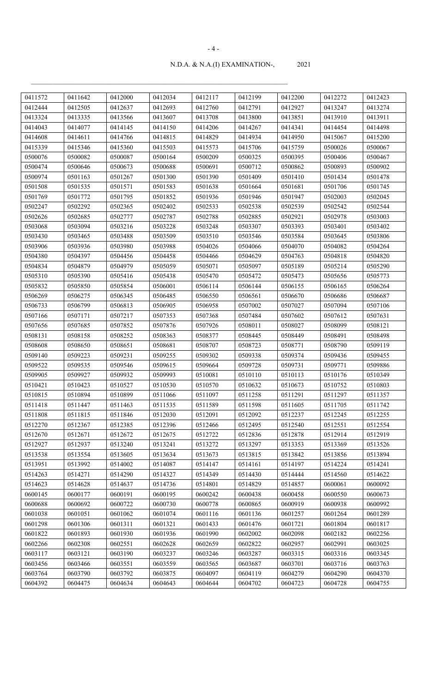| 0411572 | 0411642 | 0412000 | 0412034 | 0412117 | 0412199 | 0412200 | 0412272 | 0412423 |
|---------|---------|---------|---------|---------|---------|---------|---------|---------|
| 0412444 | 0412505 | 0412637 | 0412693 | 0412760 | 0412791 | 0412927 | 0413247 | 0413274 |
| 0413324 | 0413335 | 0413566 | 0413607 | 0413708 | 0413800 | 0413851 | 0413910 | 0413911 |
| 0414043 | 0414077 | 0414145 | 0414150 | 0414206 | 0414267 | 0414341 | 0414454 | 0414498 |
| 0414608 | 0414611 | 0414766 | 0414815 | 0414829 | 0414934 | 0414950 | 0415067 | 0415200 |
| 0415339 | 0415346 | 0415360 | 0415503 | 0415573 | 0415706 | 0415759 | 0500026 | 0500067 |
| 0500076 | 0500082 | 0500087 | 0500164 | 0500209 | 0500325 | 0500395 | 0500406 | 0500467 |
| 0500474 | 0500646 | 0500673 | 0500688 | 0500691 | 0500712 | 0500862 | 0500893 | 0500902 |
| 0500974 | 0501163 | 0501267 | 0501300 | 0501390 | 0501409 | 0501410 | 0501434 | 0501478 |
| 0501508 | 0501535 | 0501571 | 0501583 | 0501638 | 0501664 | 0501681 | 0501706 | 0501745 |
| 0501769 | 0501772 | 0501795 | 0501852 | 0501936 | 0501946 | 0501947 | 0502003 | 0502045 |
| 0502247 | 0502292 | 0502365 | 0502402 | 0502533 | 0502538 | 0502539 | 0502542 | 0502544 |
| 0502626 | 0502685 | 0502777 | 0502787 | 0502788 | 0502885 | 0502921 | 0502978 | 0503003 |
| 0503068 | 0503094 | 0503216 | 0503228 | 0503248 | 0503307 | 0503393 | 0503401 | 0503402 |
| 0503430 | 0503465 | 0503488 | 0503509 | 0503510 | 0503546 | 0503584 | 0503645 | 0503806 |
| 0503906 | 0503936 | 0503980 | 0503988 | 0504026 | 0504066 | 0504070 | 0504082 | 0504264 |
| 0504380 | 0504397 | 0504456 | 0504458 | 0504466 | 0504629 | 0504763 | 0504818 | 0504820 |
| 0504834 | 0504879 | 0504979 | 0505059 | 0505071 | 0505097 | 0505189 | 0505214 | 0505290 |
| 0505310 | 0505390 | 0505416 | 0505438 | 0505470 | 0505472 | 0505473 | 0505656 | 0505773 |
| 0505832 | 0505850 | 0505854 | 0506001 | 0506114 | 0506144 | 0506155 | 0506165 | 0506264 |
| 0506269 | 0506275 | 0506345 | 0506485 | 0506550 | 0506561 | 0506670 | 0506686 | 0506687 |
| 0506733 | 0506799 | 0506813 | 0506905 | 0506958 | 0507002 | 0507027 | 0507094 | 0507106 |
| 0507166 | 0507171 | 0507217 | 0507353 | 0507368 | 0507484 | 0507602 | 0507612 | 0507631 |
| 0507656 | 0507685 | 0507852 | 0507876 | 0507926 | 0508011 | 0508027 | 0508099 | 0508121 |
| 0508131 | 0508158 | 0508252 | 0508363 | 0508377 | 0508445 | 0508449 | 0508491 | 0508498 |
| 0508608 | 0508650 | 0508651 | 0508681 | 0508707 | 0508723 | 0508771 | 0508790 | 0509119 |
| 0509140 | 0509223 | 0509231 | 0509255 | 0509302 | 0509338 | 0509374 | 0509436 | 0509455 |
| 0509522 | 0509535 | 0509546 | 0509615 | 0509664 | 0509728 | 0509731 | 0509771 | 0509886 |
| 0509905 | 0509927 | 0509932 | 0509993 | 0510081 | 0510110 | 0510113 | 0510176 | 0510349 |
| 0510421 | 0510423 | 0510527 | 0510530 | 0510570 | 0510632 | 0510673 | 0510752 | 0510803 |
| 0510815 | 0510894 | 0510899 | 0511066 | 0511097 | 0511258 | 0511291 | 0511297 | 0511357 |
| 0511418 | 0511447 | 0511463 | 0511535 | 0511589 | 0511598 | 0511605 | 0511705 | 0511742 |
| 0511808 | 0511815 | 0511846 | 0512030 | 0512091 | 0512092 | 0512237 | 0512245 | 0512255 |
| 0512270 | 0512367 | 0512385 | 0512396 | 0512466 | 0512495 | 0512540 | 0512551 | 0512554 |
| 0512670 | 0512671 | 0512672 | 0512675 | 0512722 | 0512836 | 0512878 | 0512914 | 0512919 |
| 0512927 | 0512937 | 0513240 | 0513241 | 0513272 | 0513297 | 0513353 | 0513369 | 0513526 |
| 0513538 | 0513554 | 0513605 | 0513634 | 0513673 | 0513815 | 0513842 | 0513856 | 0513894 |
| 0513951 | 0513992 | 0514002 | 0514087 | 0514147 | 0514161 | 0514197 | 0514224 | 0514241 |
| 0514263 | 0514271 | 0514290 | 0514327 | 0514349 | 0514430 | 0514444 | 0514560 | 0514622 |
| 0514623 | 0514628 | 0514637 | 0514736 | 0514801 | 0514829 | 0514857 | 0600061 | 0600092 |
| 0600145 | 0600177 | 0600191 | 0600195 | 0600242 | 0600438 | 0600458 | 0600550 | 0600673 |
| 0600688 | 0600692 | 0600722 | 0600730 | 0600778 | 0600865 | 0600919 | 0600938 | 0600992 |
| 0601038 | 0601051 | 0601062 | 0601074 | 0601116 | 0601136 | 0601257 | 0601264 | 0601289 |
| 0601298 | 0601306 | 0601311 | 0601321 | 0601433 | 0601476 | 0601721 | 0601804 | 0601817 |
| 0601822 | 0601893 | 0601930 | 0601936 | 0601990 | 0602002 | 0602098 | 0602182 | 0602256 |
| 0602266 | 0602308 | 0602551 | 0602628 | 0602659 | 0602822 | 0602957 | 0602991 | 0603025 |
| 0603117 | 0603121 | 0603190 | 0603237 | 0603246 | 0603287 | 0603315 | 0603316 | 0603345 |
| 0603456 | 0603466 | 0603551 | 0603559 | 0603565 | 0603687 | 0603701 | 0603716 | 0603763 |
| 0603764 | 0603790 | 0603792 | 0603875 | 0604097 | 0604119 | 0604279 | 0604290 | 0604370 |
|         |         |         |         |         |         |         |         |         |
| 0604392 | 0604475 | 0604634 | 0604643 | 0604644 | 0604702 | 0604723 | 0604728 | 0604755 |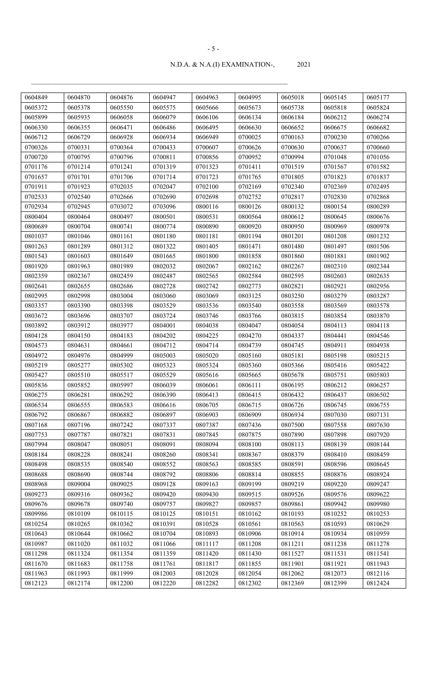| 0604849 | 0604870 | 0604876 | 0604947 | 0604963 | 0604995 | 0605018 | 0605145 | 0605177 |
|---------|---------|---------|---------|---------|---------|---------|---------|---------|
| 0605372 | 0605378 | 0605550 | 0605575 | 0605666 | 0605673 | 0605738 | 0605818 | 0605824 |
| 0605899 | 0605935 | 0606058 | 0606079 | 0606106 | 0606134 | 0606184 | 0606212 | 0606274 |
| 0606330 | 0606355 | 0606471 | 0606486 | 0606495 | 0606630 | 0606652 | 0606675 | 0606682 |
| 0606712 | 0606729 | 0606928 | 0606934 | 0606949 | 0700025 | 0700163 | 0700230 | 0700266 |
| 0700326 | 0700331 | 0700364 | 0700433 | 0700607 | 0700626 | 0700630 | 0700637 | 0700660 |
| 0700720 | 0700795 | 0700796 | 0700811 | 0700856 | 0700952 | 0700994 | 0701048 | 0701056 |
| 0701176 | 0701214 | 0701241 | 0701319 | 0701323 | 0701411 | 0701519 | 0701567 | 0701582 |
| 0701657 | 0701701 | 0701706 | 0701714 | 0701723 | 0701765 | 0701805 | 0701823 | 0701837 |
| 0701911 | 0701923 | 0702035 | 0702047 | 0702100 | 0702169 | 0702340 | 0702369 | 0702495 |
| 0702533 | 0702540 | 0702666 | 0702690 | 0702698 | 0702752 | 0702817 | 0702830 | 0702868 |
| 0702934 | 0702945 | 0703072 | 0703096 | 0800116 | 0800126 | 0800132 | 0800154 | 0800289 |
| 0800404 | 0800464 | 0800497 | 0800501 | 0800531 | 0800564 | 0800612 | 0800645 | 0800676 |
| 0800689 | 0800704 | 0800741 | 0800774 | 0800890 | 0800920 | 0800950 | 0800969 | 0800978 |
| 0801037 | 0801046 | 0801161 | 0801180 | 0801181 | 0801194 | 0801201 | 0801208 | 0801232 |
| 0801263 | 0801289 | 0801312 | 0801322 | 0801405 | 0801471 | 0801480 | 0801497 | 0801506 |
| 0801543 | 0801603 | 0801649 | 0801665 | 0801800 | 0801858 | 0801860 | 0801881 | 0801902 |
| 0801920 | 0801963 | 0801989 | 0802032 | 0802067 | 0802162 | 0802267 | 0802310 | 0802344 |
| 0802359 | 0802367 | 0802459 | 0802487 | 0802565 | 0802584 | 0802595 | 0802603 | 0802635 |
| 0802641 | 0802655 | 0802686 | 0802728 | 0802742 | 0802773 | 0802821 | 0802921 | 0802956 |
| 0802995 | 0802998 | 0803004 | 0803060 | 0803069 | 0803125 | 0803250 | 0803279 | 0803287 |
| 0803357 | 0803390 | 0803398 | 0803529 | 0803536 | 0803540 | 0803558 | 0803569 | 0803578 |
| 0803672 | 0803696 | 0803707 | 0803724 | 0803746 | 0803766 | 0803815 | 0803854 | 0803870 |
| 0803892 | 0803912 | 0803977 | 0804001 | 0804038 | 0804047 | 0804054 | 0804113 | 0804118 |
| 0804128 | 0804150 | 0804183 | 0804202 | 0804225 | 0804270 | 0804337 | 0804441 | 0804546 |
| 0804573 | 0804631 | 0804661 | 0804712 | 0804714 | 0804739 | 0804745 | 0804911 | 0804938 |
| 0804972 | 0804976 | 0804999 | 0805003 | 0805020 | 0805160 | 0805181 | 0805198 | 0805215 |
| 0805219 | 0805277 | 0805302 | 0805323 | 0805324 | 0805360 | 0805366 | 0805416 | 0805422 |
| 0805427 | 0805510 | 0805517 | 0805529 | 0805616 | 0805665 | 0805678 | 0805751 | 0805803 |
| 0805836 | 0805852 | 0805997 | 0806039 | 0806061 | 0806111 | 0806195 | 0806212 | 0806257 |
| 0806275 | 0806281 | 0806292 | 0806390 | 0806413 | 0806415 | 0806432 | 0806437 | 0806502 |
| 0806534 | 0806555 | 0806583 | 0806616 | 0806705 | 0806715 | 0806726 | 0806745 | 0806755 |
| 0806792 | 0806867 | 0806882 | 0806897 | 0806903 | 0806909 | 0806934 | 0807030 | 0807131 |
| 0807168 | 0807196 | 0807242 | 0807337 | 0807387 | 0807436 | 0807500 | 0807558 | 0807630 |
| 0807753 | 0807787 | 0807821 | 0807831 | 0807845 | 0807875 | 0807890 | 0807898 | 0807920 |
| 0807994 | 0808047 | 0808051 | 0808091 | 0808094 | 0808100 | 0808113 | 0808139 | 0808144 |
| 0808184 | 0808228 | 0808241 | 0808260 | 0808341 | 0808367 | 0808379 | 0808410 | 0808459 |
| 0808498 | 0808535 | 0808540 | 0808552 | 0808563 | 0808585 | 0808591 | 0808596 | 0808645 |
| 0808688 | 0808690 | 0808744 | 0808792 | 0808806 | 0808814 | 0808855 | 0808876 | 0808924 |
| 0808968 | 0809004 | 0809025 | 0809128 | 0809163 | 0809199 | 0809219 | 0809220 | 0809247 |
| 0809273 | 0809316 | 0809362 | 0809420 | 0809430 | 0809515 | 0809526 | 0809576 | 0809622 |
| 0809676 | 0809678 | 0809740 | 0809757 | 0809827 | 0809857 | 0809861 | 0809942 | 0809980 |
| 0809986 | 0810109 | 0810115 | 0810125 | 0810151 | 0810162 | 0810193 | 0810252 | 0810253 |
| 0810254 | 0810265 | 0810362 | 0810391 | 0810528 | 0810561 | 0810563 | 0810593 | 0810629 |
| 0810643 | 0810644 | 0810662 | 0810704 | 0810893 | 0810906 | 0810914 | 0810934 | 0810959 |
| 0810987 | 0811020 | 0811032 | 0811066 | 0811117 | 0811208 | 0811211 | 0811238 | 0811278 |
| 0811298 | 0811324 | 0811354 | 0811359 | 0811420 | 0811430 | 0811527 | 0811531 | 0811541 |
| 0811670 | 0811683 | 0811758 | 0811761 | 0811817 | 0811855 | 0811901 | 0811921 | 0811943 |
| 0811963 | 0811993 | 0811999 | 0812003 | 0812028 | 0812054 | 0812062 | 0812073 | 0812116 |
| 0812123 | 0812174 | 0812200 | 0812220 | 0812282 | 0812302 | 0812369 | 0812399 | 0812424 |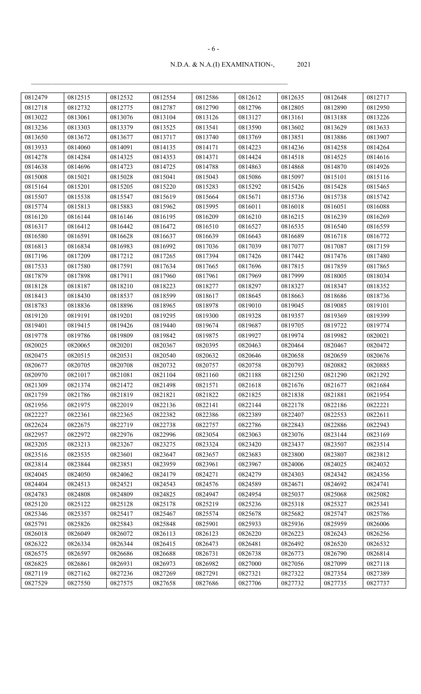| 0812479 | 0812515 | 0812532 | 0812554 | 0812586 | 0812612 | 0812635 | 0812648 | 0812717 |
|---------|---------|---------|---------|---------|---------|---------|---------|---------|
| 0812718 | 0812732 | 0812775 | 0812787 | 0812790 | 0812796 | 0812805 | 0812890 | 0812950 |
| 0813022 | 0813061 | 0813076 | 0813104 | 0813126 | 0813127 | 0813161 | 0813188 | 0813226 |
| 0813236 | 0813303 | 0813379 | 0813525 | 0813541 | 0813590 | 0813602 | 0813629 | 0813633 |
| 0813650 | 0813672 | 0813677 | 0813717 | 0813740 | 0813769 | 0813851 | 0813886 | 0813907 |
| 0813933 | 0814060 | 0814091 | 0814135 | 0814171 | 0814223 | 0814236 | 0814258 | 0814264 |
| 0814278 | 0814284 | 0814325 | 0814353 | 0814371 | 0814424 | 0814518 | 0814525 | 0814616 |
| 0814638 | 0814696 | 0814723 | 0814725 | 0814788 | 0814863 | 0814868 | 0814870 | 0814926 |
| 0815008 | 0815021 | 0815028 | 0815041 | 0815043 | 0815086 | 0815097 | 0815101 | 0815116 |
| 0815164 | 0815201 | 0815205 | 0815220 | 0815283 | 0815292 | 0815426 | 0815428 | 0815465 |
| 0815507 | 0815538 | 0815547 | 0815619 | 0815664 | 0815671 | 0815736 | 0815738 | 0815742 |
| 0815774 | 0815813 | 0815883 | 0815962 | 0815995 | 0816011 | 0816018 | 0816051 | 0816088 |
| 0816120 | 0816144 | 0816146 | 0816195 | 0816209 | 0816210 | 0816215 | 0816239 | 0816269 |
| 0816317 | 0816412 | 0816442 | 0816472 | 0816510 | 0816527 | 0816535 | 0816540 | 0816559 |
| 0816580 | 0816591 | 0816628 | 0816637 | 0816639 | 0816643 | 0816689 | 0816718 | 0816772 |
| 0816813 | 0816834 | 0816983 | 0816992 | 0817036 | 0817039 | 0817077 | 0817087 | 0817159 |
| 0817196 | 0817209 | 0817212 | 0817265 | 0817394 | 0817426 | 0817442 | 0817476 | 0817480 |
| 0817533 | 0817580 | 0817591 | 0817634 | 0817665 | 0817696 | 0817815 | 0817859 | 0817865 |
| 0817879 | 0817898 | 0817911 | 0817960 | 0817961 | 0817969 | 0817999 | 0818005 | 0818034 |
| 0818128 | 0818187 | 0818210 | 0818223 | 0818277 | 0818297 | 0818327 | 0818347 | 0818352 |
| 0818413 | 0818430 | 0818537 | 0818599 | 0818617 | 0818645 | 0818663 | 0818686 | 0818736 |
| 0818783 | 0818836 | 0818896 | 0818965 | 0818978 | 0819010 | 0819045 | 0819085 | 0819101 |
| 0819120 | 0819191 | 0819201 | 0819295 | 0819300 | 0819328 | 0819357 | 0819369 | 0819399 |
| 0819401 | 0819415 | 0819426 | 0819440 | 0819674 | 0819687 | 0819705 | 0819722 | 0819774 |
| 0819778 | 0819786 | 0819809 | 0819842 | 0819875 | 0819927 | 0819974 | 0819982 | 0820021 |
| 0820025 | 0820065 | 0820201 | 0820367 | 0820395 | 0820463 | 0820464 | 0820467 | 0820472 |
| 0820475 | 0820515 | 0820531 | 0820540 | 0820632 | 0820646 | 0820658 | 0820659 | 0820676 |
| 0820677 | 0820705 | 0820708 | 0820732 | 0820757 | 0820758 | 0820793 | 0820882 | 0820885 |
| 0820970 | 0821017 | 0821081 | 0821104 | 0821160 | 0821188 | 0821250 | 0821290 | 0821292 |
| 0821309 | 0821374 | 0821472 | 0821498 | 0821571 | 0821618 | 0821676 | 0821677 | 0821684 |
| 0821759 | 0821786 | 0821819 | 0821821 | 0821822 | 0821825 | 0821838 | 0821881 | 0821954 |
| 0821956 | 0821975 | 0822019 | 0822136 | 0822141 | 0822144 | 0822178 | 0822186 | 0822221 |
| 0822227 | 0822361 | 0822365 | 0822382 | 0822386 | 0822389 | 0822407 | 0822553 | 0822611 |
| 0822624 | 0822675 | 0822719 | 0822738 | 0822757 | 0822786 | 0822843 | 0822886 | 0822943 |
| 0822957 | 0822972 | 0822976 | 0822996 | 0823054 | 0823063 | 0823076 | 0823144 | 0823169 |
| 0823205 | 0823213 | 0823267 | 0823275 | 0823324 | 0823420 | 0823437 | 0823507 | 0823514 |
| 0823516 | 0823535 | 0823601 | 0823647 | 0823657 | 0823683 | 0823800 | 0823807 | 0823812 |
| 0823814 | 0823844 | 0823851 | 0823959 | 0823961 | 0823967 | 0824006 | 0824025 | 0824032 |
| 0824045 | 0824050 | 0824062 | 0824179 | 0824271 | 0824279 | 0824303 | 0824342 | 0824356 |
| 0824404 | 0824513 | 0824521 | 0824543 | 0824576 | 0824589 | 0824671 | 0824692 | 0824741 |
| 0824783 | 0824808 | 0824809 | 0824825 | 0824947 | 0824954 | 0825037 | 0825068 | 0825082 |
| 0825120 | 0825122 | 0825128 | 0825178 | 0825219 | 0825236 | 0825318 | 0825327 | 0825341 |
| 0825346 | 0825357 | 0825417 | 0825467 | 0825574 | 0825678 | 0825682 | 0825747 | 0825786 |
| 0825791 | 0825826 | 0825843 | 0825848 | 0825901 | 0825933 | 0825936 | 0825959 | 0826006 |
| 0826018 | 0826049 | 0826072 | 0826113 | 0826123 | 0826220 | 0826223 | 0826243 | 0826256 |
| 0826322 | 0826334 | 0826344 | 0826415 | 0826473 | 0826481 | 0826492 | 0826520 | 0826532 |
| 0826575 | 0826597 | 0826686 | 0826688 | 0826731 | 0826738 | 0826773 | 0826790 | 0826814 |
| 0826825 | 0826861 | 0826931 | 0826973 | 0826982 | 0827000 | 0827056 | 0827099 | 0827118 |
| 0827119 | 0827162 | 0827236 | 0827269 | 0827291 | 0827321 | 0827322 | 0827354 | 0827389 |
| 0827529 | 0827550 | 0827575 | 0827658 | 0827686 | 0827706 | 0827732 | 0827735 | 0827737 |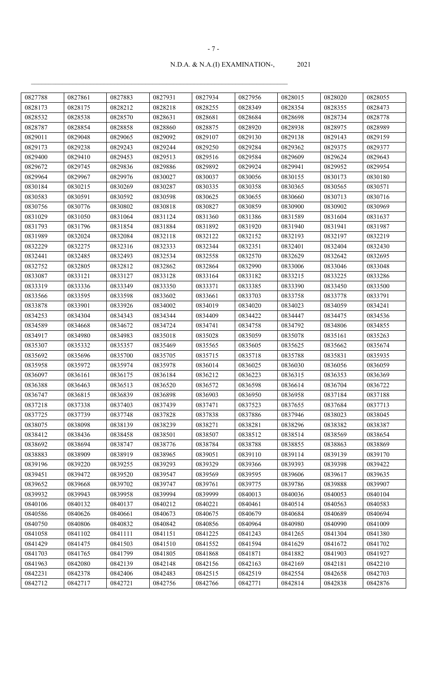|                    |                    |                    |         |         |         |         | 0828020 |                    |
|--------------------|--------------------|--------------------|---------|---------|---------|---------|---------|--------------------|
| 0827788<br>0828173 | 0827861<br>0828175 | 0827883            | 0827931 | 0827934 | 0827956 | 0828015 |         | 0828055            |
|                    |                    | 0828212<br>0828570 | 0828218 | 0828255 | 0828349 | 0828354 | 0828355 | 0828473            |
| 0828532            | 0828538            |                    | 0828631 | 0828681 | 0828684 | 0828698 | 0828734 | 0828778<br>0828989 |
| 0828787            | 0828854            | 0828858            | 0828860 | 0828875 | 0828920 | 0828938 | 0828975 |                    |
| 0829011            | 0829048            | 0829065            | 0829092 | 0829107 | 0829130 | 0829138 | 0829143 | 0829159            |
| 0829173            | 0829238            | 0829243            | 0829244 | 0829250 | 0829284 | 0829362 | 0829375 | 0829377            |
| 0829400            | 0829410            | 0829453            | 0829513 | 0829516 | 0829584 | 0829609 | 0829624 | 0829643            |
| 0829672            | 0829745            | 0829836            | 0829886 | 0829892 | 0829924 | 0829941 | 0829952 | 0829954            |
| 0829964            | 0829967            | 0829976            | 0830027 | 0830037 | 0830056 | 0830155 | 0830173 | 0830180            |
| 0830184            | 0830215            | 0830269            | 0830287 | 0830335 | 0830358 | 0830365 | 0830565 | 0830571            |
| 0830583            | 0830591            | 0830592            | 0830598 | 0830625 | 0830655 | 0830660 | 0830713 | 0830716            |
| 0830756            | 0830776            | 0830802            | 0830818 | 0830827 | 0830859 | 0830900 | 0830902 | 0830969            |
| 0831029            | 0831050            | 0831064            | 0831124 | 0831360 | 0831386 | 0831589 | 0831604 | 0831637            |
| 0831793            | 0831796            | 0831854            | 0831884 | 0831892 | 0831920 | 0831940 | 0831941 | 0831987            |
| 0831989            | 0832024            | 0832084            | 0832118 | 0832122 | 0832152 | 0832193 | 0832197 | 0832219            |
| 0832229            | 0832275            | 0832316            | 0832333 | 0832344 | 0832351 | 0832401 | 0832404 | 0832430            |
| 0832441            | 0832485            | 0832493            | 0832534 | 0832558 | 0832570 | 0832629 | 0832642 | 0832695            |
| 0832752            | 0832805            | 0832812            | 0832862 | 0832864 | 0832990 | 0833006 | 0833046 | 0833048            |
| 0833087            | 0833121            | 0833127            | 0833128 | 0833164 | 0833182 | 0833215 | 0833225 | 0833286            |
| 0833319            | 0833336            | 0833349            | 0833350 | 0833371 | 0833385 | 0833390 | 0833450 | 0833500            |
| 0833566            | 0833595            | 0833598            | 0833602 | 0833661 | 0833703 | 0833758 | 0833778 | 0833791            |
| 0833878            | 0833901            | 0833926            | 0834002 | 0834019 | 0834020 | 0834023 | 0834059 | 0834241            |
| 0834253            | 0834304            | 0834343            | 0834344 | 0834409 | 0834422 | 0834447 | 0834475 | 0834536            |
| 0834589            | 0834668            | 0834672            | 0834724 | 0834741 | 0834758 | 0834792 | 0834806 | 0834855            |
| 0834917            | 0834980            | 0834983            | 0835018 | 0835028 | 0835059 | 0835078 | 0835161 | 0835263            |
| 0835307            | 0835332            | 0835357            | 0835469 | 0835565 | 0835605 | 0835625 | 0835662 | 0835674            |
| 0835692            | 0835696            | 0835700            | 0835705 | 0835715 | 0835718 | 0835788 | 0835831 | 0835935            |
| 0835958            | 0835972            | 0835974            | 0835978 | 0836014 | 0836025 | 0836030 | 0836056 | 0836059            |
| 0836097            | 0836161            | 0836175            | 0836184 | 0836212 | 0836223 | 0836315 | 0836353 | 0836369            |
| 0836388            | 0836463            | 0836513            | 0836520 | 0836572 | 0836598 | 0836614 | 0836704 | 0836722            |
| 0836747            | 0836815            | 0836839            | 0836898 | 0836903 | 0836950 | 0836958 | 0837184 | 0837188            |
| 0837218            | 0837338            | 0837403            | 0837439 | 0837471 | 0837523 | 0837655 | 0837684 | 0837713            |
| 0837725            | 0837739            | 0837748            | 0837828 | 0837838 | 0837886 | 0837946 | 0838023 | 0838045            |
| 0838075            | 0838098            | 0838139            | 0838239 | 0838271 | 0838281 | 0838296 | 0838382 | 0838387            |
| 0838412            | 0838436            | 0838458            | 0838501 | 0838507 | 0838512 | 0838514 | 0838569 | 0838654            |
| 0838692            | 0838694            | 0838747            | 0838776 | 0838784 | 0838788 | 0838855 | 0838863 | 0838869            |
| 0838883            | 0838909            | 0838919            | 0838965 | 0839051 | 0839110 | 0839114 | 0839139 | 0839170            |
| 0839196            | 0839220            | 0839255            | 0839293 | 0839329 | 0839366 | 0839393 | 0839398 | 0839422            |
| 0839451            | 0839472            | 0839520            | 0839547 | 0839569 | 0839595 | 0839606 | 0839617 | 0839635            |
| 0839652            | 0839668            | 0839702            | 0839747 | 0839761 | 0839775 | 0839786 | 0839888 | 0839907            |
| 0839932            | 0839943            | 0839958            | 0839994 | 0839999 | 0840013 | 0840036 | 0840053 | 0840104            |
| 0840106            | 0840132            | 0840137            | 0840212 | 0840221 | 0840461 | 0840514 | 0840563 | 0840583            |
| 0840586            | 0840626            | 0840661            | 0840673 | 0840675 | 0840679 | 0840684 | 0840689 | 0840694            |
| 0840750            | 0840806            | 0840832            | 0840842 | 0840856 | 0840964 | 0840980 | 0840990 | 0841009            |
| 0841058            | 0841102            | 0841111            | 0841151 | 0841225 | 0841243 | 0841265 | 0841304 | 0841380            |
| 0841429            | 0841475            | 0841503            | 0841510 | 0841552 | 0841594 | 0841629 | 0841672 | 0841702            |
| 0841703            | 0841765            | 0841799            | 0841805 | 0841868 | 0841871 | 0841882 | 0841903 | 0841927            |
| 0841963            | 0842080            | 0842139            | 0842148 | 0842156 | 0842163 | 0842169 | 0842181 | 0842210            |
| 0842231            | 0842378            | 0842406            | 0842483 | 0842515 | 0842519 | 0842554 | 0842658 | 0842703            |
| 0842712            | 0842717            | 0842721            | 0842756 | 0842766 | 0842771 | 0842814 | 0842838 | 0842876            |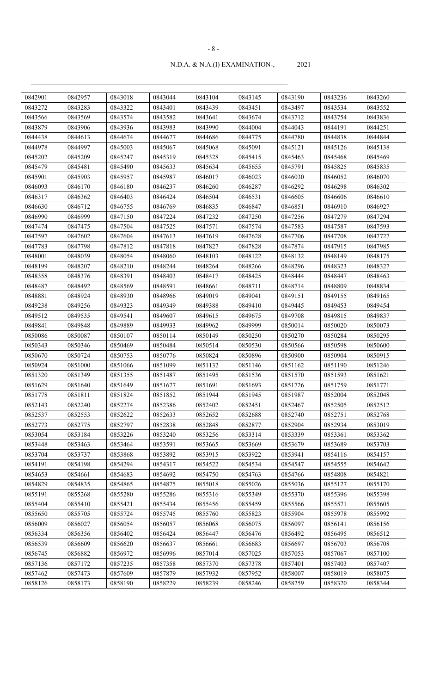| 0842901 | 0842957 | 0843018 | 0843044 | 0843104 | 0843145 | 0843190 | 0843236 | 0843260 |
|---------|---------|---------|---------|---------|---------|---------|---------|---------|
| 0843272 | 0843283 | 0843322 | 0843401 | 0843439 | 0843451 | 0843497 | 0843534 | 0843552 |
| 0843566 | 0843569 | 0843574 | 0843582 | 0843641 | 0843674 | 0843712 | 0843754 | 0843836 |
| 0843879 | 0843906 | 0843936 | 0843983 | 0843990 | 0844004 | 0844043 | 0844191 | 0844251 |
| 0844438 | 0844613 | 0844674 | 0844677 | 0844686 | 0844775 | 0844780 | 0844838 | 0844844 |
| 0844978 | 0844997 | 0845003 | 0845067 | 0845068 | 0845091 | 0845121 | 0845126 | 0845138 |
| 0845202 | 0845209 | 0845247 | 0845319 | 0845328 | 0845415 | 0845463 | 0845468 | 0845469 |
| 0845479 | 0845481 | 0845490 | 0845633 | 0845634 | 0845655 | 0845791 | 0845825 | 0845835 |
| 0845901 | 0845903 | 0845957 | 0845987 | 0846017 | 0846023 | 0846030 | 0846052 | 0846070 |
| 0846093 | 0846170 | 0846180 | 0846237 | 0846260 | 0846287 | 0846292 | 0846298 | 0846302 |
| 0846317 | 0846362 | 0846403 | 0846424 | 0846504 | 0846531 | 0846605 | 0846606 | 0846610 |
| 0846630 | 0846712 | 0846755 | 0846769 | 0846835 | 0846847 | 0846851 | 0846910 | 0846927 |
| 0846990 | 0846999 | 0847150 | 0847224 | 0847232 | 0847250 | 0847256 | 0847279 | 0847294 |
| 0847474 | 0847475 | 0847504 | 0847525 | 0847571 | 0847574 | 0847583 | 0847587 | 0847593 |
| 0847597 | 0847602 | 0847604 | 0847613 | 0847619 | 0847628 | 0847706 | 0847708 | 0847727 |
| 0847783 | 0847798 | 0847812 | 0847818 | 0847827 | 0847828 | 0847874 | 0847915 | 0847985 |
| 0848001 | 0848039 | 0848054 | 0848060 | 0848103 | 0848122 | 0848132 | 0848149 | 0848175 |
| 0848199 | 0848207 | 0848210 | 0848244 | 0848264 | 0848266 | 0848296 | 0848323 | 0848327 |
| 0848358 | 0848376 | 0848391 | 0848403 | 0848417 | 0848425 | 0848444 | 0848447 | 0848463 |
| 0848487 | 0848492 | 0848569 | 0848591 | 0848661 | 0848711 | 0848714 | 0848809 | 0848834 |
| 0848881 | 0848924 | 0848930 | 0848966 | 0849019 | 0849041 | 0849151 | 0849155 | 0849165 |
| 0849238 | 0849256 | 0849323 | 0849349 | 0849388 | 0849410 | 0849445 | 0849453 | 0849454 |
| 0849512 | 0849535 | 0849541 | 0849607 | 0849615 | 0849675 | 0849708 | 0849815 | 0849837 |
| 0849841 | 0849848 | 0849889 | 0849933 | 0849962 | 0849999 | 0850014 | 0850020 | 0850073 |
| 0850086 | 0850087 | 0850107 | 0850114 | 0850149 | 0850250 | 0850270 | 0850284 | 0850295 |
| 0850343 | 0850346 | 0850469 | 0850484 | 0850514 | 0850530 | 0850566 | 0850598 | 0850600 |
| 0850670 | 0850724 | 0850753 | 0850776 | 0850824 | 0850896 | 0850900 | 0850904 | 0850915 |
| 0850924 | 0851000 | 0851066 | 0851099 | 0851132 | 0851146 | 0851162 | 0851190 | 0851246 |
| 0851320 | 0851349 | 0851355 | 0851487 | 0851495 | 0851536 | 0851570 | 0851593 | 0851621 |
| 0851629 | 0851640 | 0851649 | 0851677 | 0851691 | 0851693 | 0851726 | 0851759 | 0851771 |
| 0851778 | 0851811 | 0851824 | 0851852 | 0851944 | 0851945 | 0851987 | 0852004 | 0852048 |
| 0852143 | 0852240 | 0852274 | 0852386 | 0852402 | 0852451 | 0852467 | 0852505 | 0852512 |
| 0852537 | 0852553 | 0852622 | 0852633 | 0852652 | 0852688 | 0852740 | 0852751 | 0852768 |
| 0852773 | 0852775 | 0852797 | 0852838 | 0852848 | 0852877 | 0852904 | 0852934 | 0853019 |
| 0853054 | 0853184 | 0853226 | 0853240 | 0853256 | 0853314 | 0853339 | 0853361 | 0853362 |
| 0853448 | 0853463 | 0853464 | 0853591 | 0853665 | 0853669 | 0853679 | 0853689 | 0853703 |
| 0853704 | 0853737 | 0853868 | 0853892 | 0853915 | 0853922 | 0853941 | 0854116 | 0854157 |
| 0854191 | 0854198 | 0854294 | 0854317 | 0854522 | 0854534 | 0854547 | 0854555 | 0854642 |
| 0854653 | 0854661 | 0854683 | 0854692 | 0854750 | 0854763 | 0854766 | 0854808 | 0854821 |
| 0854829 | 0854835 | 0854865 | 0854875 | 0855018 | 0855026 | 0855036 | 0855127 | 0855170 |
| 0855191 | 0855268 | 0855280 | 0855286 | 0855316 | 0855349 | 0855370 | 0855396 | 0855398 |
| 0855404 | 0855410 | 0855421 | 0855434 | 0855456 | 0855459 | 0855566 | 0855571 | 0855605 |
| 0855650 | 0855705 | 0855724 | 0855745 | 0855760 | 0855823 | 0855904 | 0855978 | 0855992 |
| 0856009 | 0856027 | 0856054 | 0856057 | 0856068 | 0856075 | 0856097 | 0856141 | 0856156 |
| 0856334 | 0856356 | 0856402 | 0856424 | 0856447 | 0856476 | 0856492 | 0856495 | 0856512 |
| 0856539 | 0856609 | 0856620 | 0856637 | 0856661 | 0856683 | 0856697 | 0856703 | 0856708 |
| 0856745 | 0856882 | 0856972 | 0856996 | 0857014 | 0857025 | 0857053 | 0857067 | 0857100 |
| 0857136 | 0857172 | 0857235 | 0857358 | 0857370 | 0857378 | 0857401 | 0857403 | 0857407 |
| 0857462 | 0857473 | 0857609 | 0857879 | 0857932 | 0857952 | 0858007 | 0858019 | 0858075 |
| 0858126 | 0858173 | 0858190 | 0858229 | 0858239 | 0858246 | 0858259 | 0858320 | 0858344 |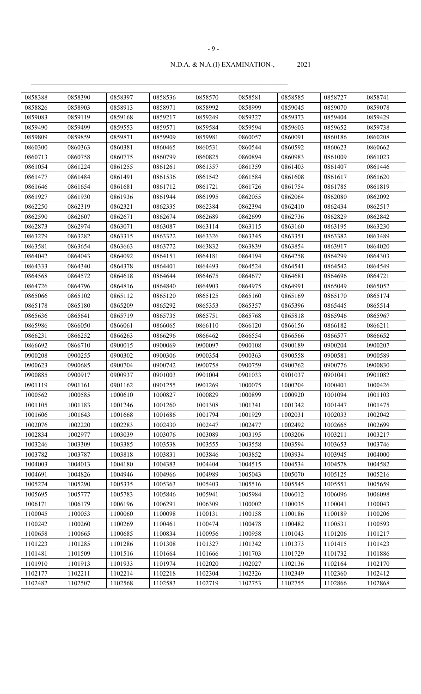| 0858388 | 0858390 | 0858397 | 0858536 | 0858570 | 0858581 | 0858585 | 0858727 | 0858741 |
|---------|---------|---------|---------|---------|---------|---------|---------|---------|
| 0858826 | 0858903 | 0858913 | 0858971 | 0858992 | 0858999 | 0859045 | 0859070 | 0859078 |
| 0859083 | 0859119 | 0859168 | 0859217 | 0859249 | 0859327 | 0859373 | 0859404 | 0859429 |
| 0859490 | 0859499 | 0859553 | 0859571 | 0859584 | 0859594 | 0859603 | 0859652 | 0859738 |
| 0859809 | 0859859 | 0859871 | 0859909 | 0859981 | 0860057 | 0860091 | 0860186 | 0860208 |
| 0860300 | 0860363 | 0860381 | 0860465 | 0860531 | 0860544 | 0860592 | 0860623 | 0860662 |
| 0860713 | 0860758 | 0860775 | 0860799 | 0860825 | 0860894 | 0860983 | 0861009 | 0861023 |
| 0861054 | 0861224 | 0861255 | 0861261 | 0861357 | 0861359 | 0861403 | 0861407 | 0861446 |
| 0861477 | 0861484 | 0861491 | 0861536 | 0861542 | 0861584 | 0861608 | 0861617 | 0861620 |
| 0861646 | 0861654 | 0861681 | 0861712 | 0861721 | 0861726 | 0861754 | 0861785 | 0861819 |
| 0861927 | 0861930 | 0861936 | 0861944 | 0861995 | 0862055 | 0862064 | 0862080 | 0862092 |
| 0862250 | 0862319 | 0862321 | 0862335 | 0862384 | 0862394 | 0862410 | 0862434 | 0862517 |
| 0862590 | 0862607 | 0862671 | 0862674 | 0862689 | 0862699 | 0862736 | 0862829 | 0862842 |
| 0862873 | 0862974 | 0863071 | 0863087 | 0863114 | 0863115 | 0863160 | 0863195 | 0863230 |
| 0863279 | 0863282 | 0863315 | 0863322 | 0863326 | 0863345 | 0863351 | 0863382 | 0863489 |
| 0863581 | 0863654 | 0863663 | 0863772 | 0863832 | 0863839 | 0863854 | 0863917 | 0864020 |
| 0864042 | 0864043 | 0864092 | 0864151 | 0864181 | 0864194 | 0864258 | 0864299 | 0864303 |
| 0864333 | 0864340 | 0864378 | 0864401 | 0864493 | 0864524 | 0864541 | 0864542 | 0864549 |
| 0864568 | 0864572 | 0864618 | 0864644 | 0864675 | 0864677 | 0864681 | 0864696 | 0864721 |
| 0864726 | 0864796 | 0864816 | 0864840 | 0864903 | 0864975 | 0864991 | 0865049 | 0865052 |
| 0865066 | 0865102 | 0865112 | 0865120 | 0865125 | 0865160 | 0865169 | 0865170 | 0865174 |
| 0865178 | 0865180 | 0865209 | 0865292 | 0865353 | 0865357 | 0865396 | 0865445 | 0865514 |
| 0865636 | 0865641 | 0865719 | 0865735 | 0865751 | 0865768 | 0865818 | 0865946 | 0865967 |
| 0865986 | 0866050 | 0866061 | 0866065 | 0866110 | 0866120 | 0866156 | 0866182 | 0866211 |
| 0866231 | 0866252 | 0866263 | 0866296 | 0866462 | 0866554 | 0866566 | 0866577 | 0866652 |
| 0866692 | 0866710 | 0900015 | 0900069 | 0900097 | 0900108 | 0900189 | 0900204 | 0900207 |
| 0900208 | 0900255 | 0900302 | 0900306 | 0900354 | 0900363 | 0900558 | 0900581 | 0900589 |
| 0900623 | 0900685 | 0900704 | 0900742 | 0900758 | 0900759 | 0900762 | 0900776 | 0900830 |
| 0900885 | 0900917 | 0900937 | 0901003 | 0901004 | 0901033 | 0901037 | 0901041 | 0901082 |
| 0901119 | 0901161 | 0901162 | 0901255 | 0901269 | 1000075 | 1000204 | 1000401 | 1000426 |
| 1000562 | 1000585 | 1000610 | 1000827 | 1000829 | 1000899 | 1000920 | 1001094 | 1001103 |
| 1001105 | 1001183 | 1001246 | 1001260 | 1001308 | 1001341 | 1001342 | 1001447 | 1001475 |
| 1001606 | 1001643 | 1001668 | 1001686 | 1001794 | 1001929 | 1002031 | 1002033 | 1002042 |
| 1002076 | 1002220 | 1002283 | 1002430 | 1002447 | 1002477 | 1002492 | 1002665 | 1002699 |
| 1002834 | 1002977 | 1003039 | 1003076 | 1003089 | 1003195 | 1003206 | 1003211 | 1003217 |
| 1003246 | 1003309 | 1003385 | 1003538 | 1003555 | 1003558 | 1003594 | 1003653 | 1003746 |
| 1003782 | 1003787 | 1003818 | 1003831 | 1003846 | 1003852 | 1003934 | 1003945 | 1004000 |
| 1004003 | 1004013 | 1004180 | 1004383 | 1004404 | 1004515 | 1004534 | 1004578 | 1004582 |
| 1004691 | 1004826 | 1004946 | 1004966 | 1004989 | 1005043 | 1005070 | 1005125 | 1005216 |
| 1005274 | 1005290 | 1005335 | 1005363 | 1005403 | 1005516 | 1005545 | 1005551 | 1005659 |
| 1005695 | 1005777 | 1005783 | 1005846 | 1005941 | 1005984 | 1006012 | 1006096 | 1006098 |
| 1006171 | 1006179 | 1006196 | 1006291 | 1006309 | 1100002 | 1100035 | 1100041 | 1100043 |
| 1100045 | 1100053 | 1100060 | 1100098 | 1100131 | 1100158 | 1100186 | 1100189 | 1100206 |
| 1100242 | 1100260 | 1100269 | 1100461 | 1100474 | 1100478 | 1100482 | 1100531 | 1100593 |
| 1100658 | 1100665 | 1100685 | 1100834 | 1100956 | 1100958 | 1101043 | 1101206 | 1101217 |
| 1101223 | 1101285 | 1101286 | 1101308 | 1101327 | 1101342 | 1101373 | 1101415 | 1101423 |
| 1101481 | 1101509 | 1101516 | 1101664 | 1101666 | 1101703 | 1101729 | 1101732 | 1101886 |
| 1101910 | 1101913 | 1101933 | 1101974 | 1102020 | 1102027 | 1102136 | 1102164 | 1102170 |
| 1102177 | 1102211 | 1102214 | 1102218 | 1102304 | 1102326 | 1102349 | 1102360 | 1102412 |
| 1102482 | 1102507 | 1102568 | 1102583 | 1102719 | 1102753 | 1102755 | 1102866 | 1102868 |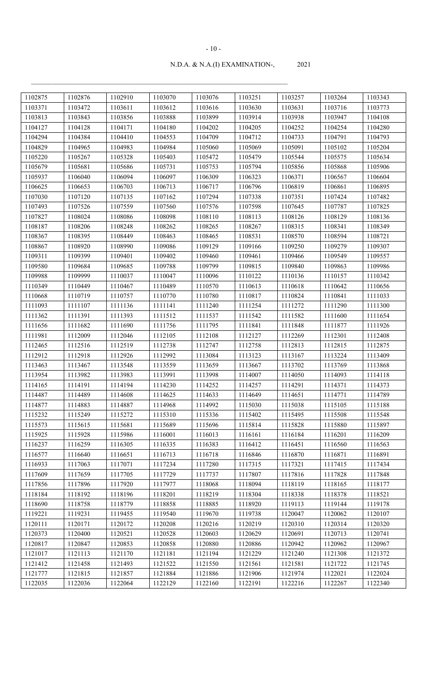| 1102875 | 1102876 | 1102910 | 1103070 | 1103076 | 1103251 | 1103257 | 1103264 | 1103343 |
|---------|---------|---------|---------|---------|---------|---------|---------|---------|
| 1103371 | 1103472 | 1103611 | 1103612 | 1103616 | 1103630 | 1103631 | 1103716 | 1103773 |
| 1103813 | 1103843 | 1103856 | 1103888 | 1103899 | 1103914 | 1103938 | 1103947 | 1104108 |
| 1104127 | 1104128 | 1104171 | 1104180 | 1104202 | 1104205 | 1104252 | 1104254 | 1104280 |
| 1104294 | 1104384 | 1104410 | 1104553 | 1104709 | 1104712 | 1104733 | 1104791 | 1104793 |
| 1104829 | 1104965 | 1104983 | 1104984 | 1105060 | 1105069 | 1105091 | 1105102 | 1105204 |
| 1105220 | 1105267 | 1105328 | 1105403 | 1105472 | 1105479 | 1105544 | 1105575 | 1105634 |
| 1105679 | 1105681 | 1105686 | 1105731 | 1105753 | 1105794 | 1105856 | 1105868 | 1105906 |
| 1105937 | 1106040 | 1106094 | 1106097 | 1106309 | 1106323 | 1106371 | 1106567 | 1106604 |
| 1106625 | 1106653 | 1106703 | 1106713 | 1106717 | 1106796 | 1106819 | 1106861 | 1106895 |
| 1107030 | 1107120 | 1107135 | 1107162 | 1107294 | 1107338 | 1107351 | 1107424 | 1107482 |
| 1107493 | 1107526 | 1107559 | 1107560 | 1107576 | 1107598 | 1107645 | 1107787 | 1107825 |
| 1107827 | 1108024 | 1108086 | 1108098 | 1108110 | 1108113 | 1108126 | 1108129 | 1108136 |
| 1108187 | 1108206 | 1108248 | 1108262 | 1108265 | 1108267 | 1108315 | 1108341 | 1108349 |
| 1108367 | 1108395 | 1108449 | 1108463 | 1108465 | 1108531 | 1108570 | 1108594 | 1108721 |
| 1108867 | 1108920 | 1108990 | 1109086 | 1109129 | 1109166 | 1109250 | 1109279 | 1109307 |
| 1109311 | 1109399 | 1109401 | 1109402 | 1109460 | 1109461 | 1109466 | 1109549 | 1109557 |
| 1109580 | 1109684 | 1109685 | 1109788 | 1109799 | 1109815 | 1109840 | 1109863 | 1109986 |
| 1109988 | 1109999 | 1110037 | 1110047 | 1110096 | 1110122 | 1110136 | 1110157 | 1110342 |
| 1110349 | 1110449 | 1110467 | 1110489 | 1110570 | 1110613 | 1110618 | 1110642 | 1110656 |
| 1110668 | 1110719 | 1110757 | 1110770 | 1110780 | 1110817 | 1110824 | 1110841 | 1111033 |
| 1111093 | 1111107 | 1111136 | 1111141 | 1111240 | 1111254 | 1111272 | 1111290 | 1111300 |
| 1111362 | 1111391 | 1111393 | 1111512 | 1111537 | 1111542 | 1111582 | 1111600 | 1111654 |
| 1111656 | 1111682 | 1111690 | 1111756 | 1111795 | 1111841 | 1111848 | 1111877 | 1111926 |
| 1111981 | 1112009 | 1112046 | 1112105 | 1112108 | 1112127 | 1112269 | 1112301 | 1112408 |
| 1112465 | 1112516 | 1112519 | 1112738 | 1112747 | 1112758 | 1112813 | 1112815 | 1112875 |
| 1112912 | 1112918 | 1112926 | 1112992 | 1113084 | 1113123 | 1113167 | 1113224 | 1113409 |
| 1113463 | 1113467 | 1113548 | 1113559 | 1113659 | 1113667 | 1113702 | 1113769 | 1113868 |
| 1113954 | 1113982 | 1113983 | 1113991 | 1113998 | 1114007 | 1114050 | 1114093 | 1114118 |
| 1114165 | 1114191 | 1114194 | 1114230 | 1114252 | 1114257 | 1114291 | 1114371 | 1114373 |
| 1114487 | 1114489 | 1114608 | 1114625 | 1114633 | 1114649 | 1114651 | 1114771 | 1114789 |
| 1114877 | 1114883 | 1114887 | 1114968 | 1114992 | 1115030 | 1115038 | 1115105 | 1115188 |
| 1115232 | 1115249 | 1115272 | 1115310 | 1115336 | 1115402 | 1115495 | 1115508 | 1115548 |
| 1115573 | 1115615 | 1115681 | 1115689 | 1115696 | 1115814 | 1115828 | 1115880 | 1115897 |
| 1115925 | 1115928 | 1115986 | 1116001 | 1116013 | 1116161 | 1116184 | 1116201 | 1116209 |
| 1116237 | 1116259 | 1116305 | 1116335 | 1116383 | 1116412 | 1116451 | 1116560 | 1116563 |
| 1116577 | 1116640 | 1116651 | 1116713 | 1116718 | 1116846 | 1116870 | 1116871 | 1116891 |
| 1116933 | 1117063 | 1117071 | 1117234 | 1117280 | 1117315 | 1117321 | 1117415 | 1117434 |
| 1117609 | 1117659 | 1117705 | 1117729 | 1117737 | 1117807 | 1117816 | 1117828 | 1117848 |
| 1117856 | 1117896 | 1117920 | 1117977 | 1118068 | 1118094 | 1118119 | 1118165 | 1118177 |
| 1118184 | 1118192 | 1118196 | 1118201 | 1118219 | 1118304 | 1118338 | 1118378 | 1118521 |
| 1118690 | 1118758 | 1118779 | 1118858 | 1118885 | 1118920 | 1119113 | 1119144 | 1119178 |
| 1119221 | 1119231 | 1119455 | 1119540 | 1119670 | 1119738 | 1120047 | 1120062 | 1120107 |
| 1120111 | 1120171 | 1120172 | 1120208 | 1120216 | 1120219 | 1120310 | 1120314 | 1120320 |
| 1120373 | 1120400 | 1120521 | 1120528 | 1120603 | 1120629 | 1120691 | 1120713 | 1120741 |
| 1120817 | 1120847 | 1120853 | 1120858 | 1120880 | 1120886 | 1120942 | 1120962 | 1120967 |
| 1121017 | 1121113 | 1121170 | 1121181 | 1121194 | 1121229 | 1121240 | 1121308 | 1121372 |
| 1121412 | 1121458 | 1121493 | 1121522 | 1121550 | 1121561 | 1121581 | 1121722 | 1121745 |
| 1121777 | 1121815 | 1121857 | 1121884 | 1121886 | 1121906 | 1121974 | 1122021 | 1122024 |
| 1122035 | 1122036 | 1122064 | 1122129 | 1122160 | 1122191 | 1122216 | 1122267 | 1122340 |

#### - 10 -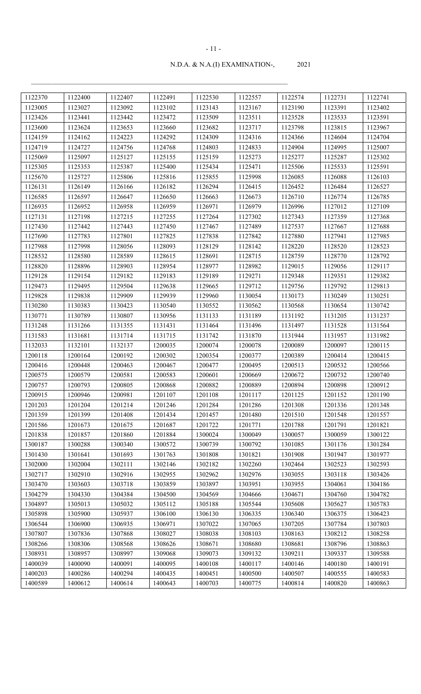| 1122370 | 1122400 | 1122407 | 1122491 | 1122530 | 1122557 | 1122574 | 1122731 | 1122741 |
|---------|---------|---------|---------|---------|---------|---------|---------|---------|
| 1123005 | 1123027 | 1123092 | 1123102 | 1123143 | 1123167 | 1123190 | 1123391 | 1123402 |
| 1123426 | 1123441 | 1123442 | 1123472 | 1123509 | 1123511 | 1123528 | 1123533 | 1123591 |
| 1123600 | 1123624 | 1123653 | 1123660 | 1123682 | 1123717 | 1123798 | 1123815 | 1123967 |
| 1124159 | 1124162 | 1124223 | 1124292 | 1124309 | 1124316 | 1124366 | 1124604 | 1124704 |
| 1124719 | 1124727 | 1124756 | 1124768 | 1124803 | 1124833 | 1124904 | 1124995 | 1125007 |
| 1125069 | 1125097 | 1125127 | 1125155 | 1125159 | 1125273 | 1125277 | 1125287 | 1125302 |
| 1125305 | 1125353 | 1125387 | 1125400 | 1125434 | 1125471 | 1125506 | 1125533 | 1125591 |
| 1125670 | 1125727 | 1125806 | 1125816 | 1125855 | 1125998 | 1126085 | 1126088 | 1126103 |
| 1126131 | 1126149 | 1126166 | 1126182 | 1126294 | 1126415 | 1126452 | 1126484 | 1126527 |
| 1126585 | 1126597 | 1126647 | 1126650 | 1126663 | 1126673 | 1126710 | 1126774 | 1126785 |
| 1126935 | 1126952 | 1126958 | 1126959 | 1126971 | 1126979 | 1126996 | 1127012 | 1127109 |
| 1127131 | 1127198 | 1127215 | 1127255 | 1127264 | 1127302 | 1127343 | 1127359 | 1127368 |
| 1127430 | 1127442 | 1127443 | 1127450 | 1127467 | 1127489 | 1127537 | 1127667 | 1127688 |
| 1127690 | 1127783 | 1127801 | 1127825 | 1127838 | 1127842 | 1127880 | 1127941 | 1127985 |
| 1127988 | 1127998 | 1128056 | 1128093 | 1128129 | 1128142 | 1128220 | 1128520 | 1128523 |
| 1128532 | 1128580 | 1128589 | 1128615 | 1128691 | 1128715 | 1128759 | 1128770 | 1128792 |
| 1128820 | 1128896 | 1128903 | 1128954 | 1128977 | 1128982 | 1129015 | 1129056 | 1129117 |
| 1129128 | 1129154 | 1129182 | 1129183 | 1129189 | 1129271 | 1129348 | 1129351 | 1129382 |
| 1129473 | 1129495 | 1129504 | 1129638 | 1129665 | 1129712 | 1129756 | 1129792 | 1129813 |
| 1129828 | 1129838 | 1129909 | 1129939 | 1129960 | 1130054 | 1130173 | 1130249 | 1130251 |
| 1130280 | 1130383 | 1130423 | 1130540 | 1130552 | 1130562 | 1130568 | 1130654 | 1130742 |
| 1130771 | 1130789 | 1130807 | 1130956 | 1131133 | 1131189 | 1131192 | 1131205 | 1131237 |
| 1131248 | 1131266 | 1131355 | 1131431 | 1131464 | 1131496 | 1131497 | 1131528 | 1131564 |
| 1131583 | 1131681 | 1131714 | 1131715 | 1131742 | 1131870 | 1131944 | 1131957 | 1131982 |
| 1132033 | 1132101 | 1132137 | 1200035 | 1200074 | 1200078 | 1200089 | 1200097 | 1200115 |
| 1200118 | 1200164 | 1200192 | 1200302 | 1200354 | 1200377 | 1200389 | 1200414 | 1200415 |
| 1200416 | 1200448 | 1200463 | 1200467 | 1200477 | 1200495 | 1200513 | 1200532 | 1200566 |
| 1200575 | 1200579 | 1200581 | 1200583 | 1200601 | 1200669 | 1200672 | 1200732 | 1200740 |
| 1200757 | 1200793 | 1200805 | 1200868 | 1200882 | 1200889 | 1200894 | 1200898 | 1200912 |
| 1200915 | 1200946 | 1200981 | 1201107 | 1201108 | 1201117 | 1201125 | 1201152 | 1201190 |
| 1201203 | 1201204 | 1201214 | 1201246 | 1201284 | 1201286 | 1201308 | 1201336 | 1201348 |
| 1201359 | 1201399 | 1201408 | 1201434 | 1201457 | 1201480 | 1201510 | 1201548 | 1201557 |
| 1201586 | 1201673 | 1201675 | 1201687 | 1201722 | 1201771 | 1201788 | 1201791 | 1201821 |
| 1201838 | 1201857 | 1201860 | 1201884 | 1300024 | 1300049 | 1300057 | 1300059 | 1300122 |
| 1300187 | 1300288 | 1300340 | 1300572 | 1300739 | 1300792 | 1301085 | 1301176 | 1301284 |
| 1301430 | 1301641 | 1301693 | 1301763 | 1301808 | 1301821 | 1301908 | 1301947 | 1301977 |
| 1302000 | 1302004 | 1302111 | 1302146 | 1302182 | 1302260 | 1302464 | 1302523 | 1302593 |
| 1302717 | 1302910 | 1302916 | 1302955 | 1302962 | 1302976 | 1303055 | 1303118 | 1303426 |
| 1303470 | 1303603 | 1303718 | 1303859 | 1303897 | 1303951 | 1303955 | 1304061 | 1304186 |
| 1304279 | 1304330 | 1304384 | 1304500 | 1304569 | 1304666 | 1304671 | 1304760 | 1304782 |
| 1304897 | 1305013 | 1305032 | 1305112 | 1305188 | 1305544 | 1305608 | 1305627 | 1305783 |
| 1305898 | 1305900 | 1305937 | 1306100 | 1306130 | 1306335 | 1306340 | 1306375 | 1306423 |
| 1306544 | 1306900 | 1306935 | 1306971 | 1307022 | 1307065 | 1307205 | 1307784 | 1307803 |
| 1307807 | 1307836 | 1307868 | 1308027 | 1308038 | 1308103 | 1308163 | 1308212 | 1308258 |
| 1308266 | 1308306 | 1308568 | 1308626 | 1308671 | 1308680 | 1308681 | 1308796 | 1308863 |
| 1308931 | 1308957 | 1308997 | 1309068 | 1309073 | 1309132 | 1309211 | 1309337 | 1309588 |
| 1400039 | 1400090 | 1400091 | 1400095 | 1400108 | 1400117 | 1400146 | 1400180 | 1400191 |
| 1400203 | 1400286 | 1400294 | 1400435 | 1400451 | 1400500 | 1400507 | 1400555 | 1400583 |
| 1400589 | 1400612 | 1400614 | 1400643 | 1400703 | 1400775 | 1400814 | 1400820 | 1400863 |

#### - 11 -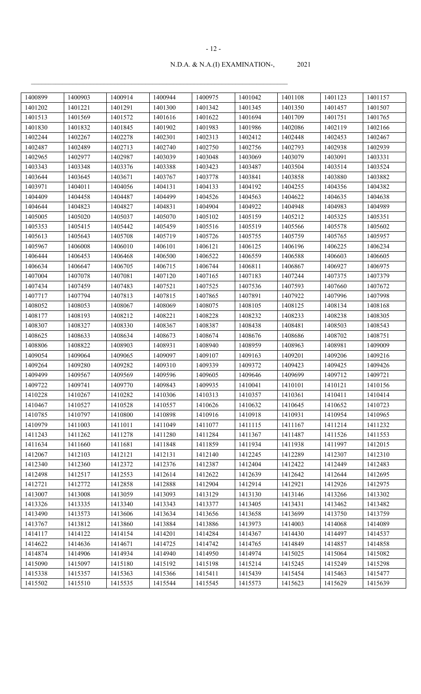| 1400899 | 1400903 | 1400914 | 1400944 | 1400975 | 1401042 | 1401108 | 1401123 | 1401157 |
|---------|---------|---------|---------|---------|---------|---------|---------|---------|
| 1401202 | 1401221 | 1401291 | 1401300 | 1401342 | 1401345 | 1401350 | 1401457 | 1401507 |
| 1401513 | 1401569 | 1401572 | 1401616 | 1401622 | 1401694 | 1401709 | 1401751 | 1401765 |
| 1401830 | 1401832 | 1401845 | 1401902 | 1401983 | 1401986 | 1402086 | 1402119 | 1402166 |
| 1402244 | 1402267 | 1402278 | 1402301 | 1402313 | 1402412 | 1402448 | 1402453 | 1402467 |
| 1402487 | 1402489 | 1402713 | 1402740 | 1402750 | 1402756 | 1402793 | 1402938 | 1402939 |
| 1402965 | 1402977 | 1402987 | 1403039 | 1403048 | 1403069 | 1403079 | 1403091 | 1403331 |
| 1403343 | 1403348 | 1403376 | 1403388 | 1403423 | 1403487 | 1403504 | 1403514 | 1403524 |
| 1403644 | 1403645 | 1403671 | 1403767 | 1403778 | 1403841 | 1403858 | 1403880 | 1403882 |
| 1403971 | 1404011 | 1404056 | 1404131 | 1404133 | 1404192 | 1404255 | 1404356 | 1404382 |
| 1404409 | 1404458 | 1404487 | 1404499 | 1404526 | 1404563 | 1404622 | 1404635 | 1404638 |
| 1404644 | 1404823 | 1404827 | 1404831 | 1404904 | 1404922 | 1404948 | 1404983 | 1404989 |
| 1405005 | 1405020 | 1405037 | 1405070 | 1405102 | 1405159 | 1405212 | 1405325 | 1405351 |
| 1405353 | 1405415 | 1405442 | 1405459 | 1405516 | 1405519 | 1405566 | 1405578 | 1405602 |
| 1405613 | 1405643 | 1405708 | 1405719 | 1405726 | 1405755 | 1405759 | 1405765 | 1405957 |
| 1405967 | 1406008 | 1406010 | 1406101 | 1406121 | 1406125 | 1406196 | 1406225 | 1406234 |
| 1406444 | 1406453 | 1406468 | 1406500 | 1406522 | 1406559 | 1406588 | 1406603 | 1406605 |
| 1406634 | 1406647 | 1406705 | 1406715 | 1406744 | 1406811 | 1406867 | 1406927 | 1406975 |
| 1407004 | 1407078 | 1407081 | 1407120 | 1407165 | 1407183 | 1407244 | 1407375 | 1407379 |
| 1407434 | 1407459 | 1407483 | 1407521 | 1407525 | 1407536 | 1407593 | 1407660 | 1407672 |
| 1407717 | 1407794 | 1407813 | 1407815 | 1407865 | 1407891 | 1407922 | 1407996 | 1407998 |
| 1408052 | 1408053 | 1408067 | 1408069 | 1408075 | 1408105 | 1408125 | 1408134 | 1408168 |
| 1408177 | 1408193 | 1408212 | 1408221 | 1408228 | 1408232 | 1408233 | 1408238 | 1408305 |
| 1408307 | 1408327 | 1408330 | 1408367 | 1408387 | 1408438 | 1408481 | 1408503 | 1408543 |
| 1408625 | 1408633 | 1408634 | 1408673 | 1408674 | 1408676 | 1408686 | 1408702 | 1408751 |
| 1408806 | 1408822 | 1408903 | 1408931 | 1408940 | 1408959 | 1408963 | 1408981 | 1409009 |
| 1409054 | 1409064 | 1409065 | 1409097 | 1409107 | 1409163 | 1409201 | 1409206 | 1409216 |
| 1409264 | 1409280 | 1409282 | 1409310 | 1409339 | 1409372 | 1409423 | 1409425 | 1409426 |
| 1409499 | 1409567 | 1409569 | 1409596 | 1409605 | 1409646 | 1409699 | 1409712 | 1409721 |
| 1409722 | 1409741 | 1409770 | 1409843 | 1409935 | 1410041 | 1410101 | 1410121 | 1410156 |
| 1410228 | 1410267 | 1410282 | 1410306 | 1410313 | 1410357 | 1410361 | 1410411 | 1410414 |
| 1410467 | 1410527 | 1410528 | 1410557 | 1410626 | 1410632 | 1410645 | 1410652 | 1410723 |
| 1410785 | 1410797 | 1410800 | 1410898 | 1410916 | 1410918 | 1410931 | 1410954 | 1410965 |
| 1410979 | 1411003 | 1411011 | 1411049 | 1411077 | 1411115 | 1411167 | 1411214 | 1411232 |
| 1411243 | 1411262 | 1411278 | 1411280 | 1411284 | 1411367 | 1411487 | 1411526 | 1411553 |
| 1411634 | 1411660 | 1411681 | 1411848 | 1411859 | 1411934 | 1411938 | 1411997 | 1412015 |
| 1412067 | 1412103 | 1412121 | 1412131 | 1412140 | 1412245 | 1412289 | 1412307 | 1412310 |
| 1412340 | 1412360 | 1412372 | 1412376 | 1412387 | 1412404 | 1412422 | 1412449 | 1412483 |
| 1412498 | 1412517 | 1412553 | 1412614 | 1412622 | 1412639 | 1412642 | 1412644 | 1412695 |
| 1412721 | 1412772 | 1412858 | 1412888 | 1412904 | 1412914 | 1412921 | 1412926 | 1412975 |
| 1413007 | 1413008 | 1413059 | 1413093 | 1413129 | 1413130 | 1413146 | 1413266 | 1413302 |
| 1413326 | 1413335 | 1413340 | 1413343 | 1413377 | 1413405 | 1413431 | 1413462 | 1413482 |
| 1413490 | 1413573 | 1413606 | 1413634 | 1413656 | 1413658 | 1413699 | 1413750 | 1413759 |
| 1413767 | 1413812 | 1413860 | 1413884 | 1413886 | 1413973 | 1414003 | 1414068 | 1414089 |
| 1414117 | 1414122 | 1414154 | 1414201 | 1414284 | 1414367 | 1414430 | 1414497 | 1414537 |
| 1414622 | 1414636 | 1414671 | 1414725 | 1414742 | 1414765 | 1414849 | 1414857 | 1414858 |
| 1414874 | 1414906 | 1414934 | 1414940 | 1414950 | 1414974 | 1415025 | 1415064 | 1415082 |
| 1415090 | 1415097 | 1415180 | 1415192 | 1415198 | 1415214 | 1415245 | 1415249 | 1415298 |
| 1415338 | 1415357 | 1415363 | 1415366 | 1415411 | 1415439 | 1415454 | 1415463 | 1415477 |
| 1415502 | 1415510 | 1415535 | 1415544 | 1415545 | 1415573 | 1415623 | 1415629 | 1415639 |

#### - 12 -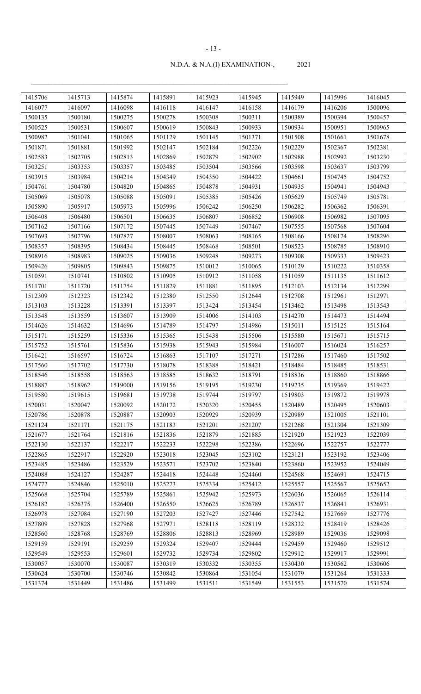| 1415706 | 1415713 | 1415874 | 1415891 | 1415923 | 1415945 | 1415949 | 1415996 | 1416045 |
|---------|---------|---------|---------|---------|---------|---------|---------|---------|
| 1416077 | 1416097 | 1416098 | 1416118 | 1416147 | 1416158 | 1416179 | 1416206 | 1500096 |
| 1500135 | 1500180 | 1500275 | 1500278 | 1500308 | 1500311 | 1500389 | 1500394 | 1500457 |
| 1500525 | 1500531 | 1500607 | 1500619 | 1500843 | 1500933 | 1500934 | 1500951 | 1500965 |
| 1500982 | 1501041 | 1501065 | 1501129 | 1501145 | 1501371 | 1501508 | 1501661 | 1501678 |
| 1501871 | 1501881 | 1501992 | 1502147 | 1502184 | 1502226 | 1502229 | 1502367 | 1502381 |
| 1502583 | 1502705 | 1502813 | 1502869 | 1502879 | 1502902 | 1502988 | 1502992 | 1503230 |
| 1503251 | 1503353 | 1503357 | 1503485 | 1503504 | 1503566 | 1503598 | 1503637 | 1503799 |
| 1503915 | 1503984 | 1504214 | 1504349 | 1504350 | 1504422 | 1504661 | 1504745 | 1504752 |
| 1504761 | 1504780 | 1504820 | 1504865 | 1504878 | 1504931 | 1504935 | 1504941 | 1504943 |
| 1505069 | 1505078 | 1505088 | 1505091 | 1505385 | 1505426 | 1505629 | 1505749 | 1505781 |
| 1505890 | 1505917 | 1505973 | 1505996 | 1506242 | 1506250 | 1506282 | 1506362 | 1506391 |
| 1506408 | 1506480 | 1506501 | 1506635 | 1506807 | 1506852 | 1506908 | 1506982 | 1507095 |
| 1507162 | 1507166 | 1507172 | 1507445 | 1507449 | 1507467 | 1507555 | 1507568 | 1507604 |
| 1507693 | 1507796 | 1507827 | 1508007 | 1508063 | 1508165 | 1508166 | 1508174 | 1508296 |
| 1508357 | 1508395 | 1508434 | 1508445 | 1508468 | 1508501 | 1508523 | 1508785 | 1508910 |
| 1508916 | 1508983 | 1509025 | 1509036 | 1509248 | 1509273 | 1509308 | 1509333 | 1509423 |
| 1509426 | 1509805 | 1509843 | 1509875 | 1510012 | 1510065 | 1510129 | 1510222 | 1510358 |
| 1510591 | 1510741 | 1510802 | 1510905 | 1510912 | 1511058 | 1511059 | 1511135 | 1511612 |
| 1511701 | 1511720 | 1511754 | 1511829 | 1511881 | 1511895 | 1512103 | 1512134 | 1512299 |
| 1512309 | 1512323 | 1512342 | 1512380 | 1512550 | 1512644 | 1512708 | 1512961 | 1512971 |
| 1513103 | 1513228 | 1513391 | 1513397 | 1513424 | 1513454 | 1513462 | 1513498 | 1513543 |
| 1513548 | 1513559 | 1513607 | 1513909 | 1514006 | 1514103 | 1514270 | 1514473 | 1514494 |
| 1514626 | 1514632 | 1514696 | 1514789 | 1514797 | 1514986 | 1515011 | 1515125 | 1515164 |
| 1515171 | 1515259 | 1515336 | 1515365 | 1515438 | 1515506 | 1515580 | 1515671 | 1515715 |
| 1515752 | 1515761 | 1515836 | 1515938 | 1515943 | 1515984 | 1516007 | 1516024 | 1516257 |
| 1516421 | 1516597 | 1516724 | 1516863 | 1517107 | 1517271 | 1517286 | 1517460 | 1517502 |
| 1517560 | 1517702 | 1517730 | 1518078 | 1518388 | 1518421 | 1518484 | 1518485 | 1518531 |
| 1518546 | 1518558 | 1518563 | 1518585 | 1518632 | 1518791 | 1518836 | 1518860 | 1518866 |
| 1518887 | 1518962 | 1519000 | 1519156 | 1519195 | 1519230 | 1519235 | 1519369 | 1519422 |
| 1519580 | 1519615 | 1519681 | 1519738 | 1519744 | 1519797 | 1519803 | 1519872 | 1519978 |
| 1520031 | 1520047 | 1520092 | 1520172 | 1520320 | 1520455 | 1520489 | 1520495 | 1520603 |
| 1520786 | 1520878 | 1520887 | 1520903 | 1520929 | 1520939 | 1520989 | 1521005 | 1521101 |
| 1521124 | 1521171 | 1521175 | 1521183 | 1521201 | 1521207 | 1521268 | 1521304 | 1521309 |
| 1521677 | 1521764 | 1521816 | 1521836 | 1521879 | 1521885 | 1521920 | 1521923 | 1522039 |
| 1522130 | 1522137 | 1522217 | 1522233 | 1522298 | 1522386 | 1522696 | 1522757 | 1522777 |
| 1522865 | 1522917 | 1522920 | 1523018 | 1523045 | 1523102 | 1523121 | 1523192 | 1523406 |
| 1523485 | 1523486 | 1523529 | 1523571 | 1523702 | 1523840 | 1523860 | 1523952 | 1524049 |
| 1524088 | 1524127 | 1524287 | 1524418 | 1524448 | 1524460 | 1524568 | 1524691 | 1524715 |
| 1524772 | 1524846 | 1525010 | 1525273 | 1525334 | 1525412 | 1525557 | 1525567 | 1525652 |
| 1525668 | 1525704 | 1525789 | 1525861 | 1525942 | 1525973 | 1526036 | 1526065 | 1526114 |
| 1526182 | 1526375 | 1526400 | 1526550 | 1526625 | 1526789 | 1526837 | 1526841 | 1526931 |
| 1526978 | 1527084 | 1527190 | 1527203 | 1527427 | 1527446 | 1527542 | 1527669 | 1527776 |
| 1527809 | 1527828 | 1527968 | 1527971 | 1528118 | 1528119 | 1528332 | 1528419 | 1528426 |
| 1528560 | 1528768 | 1528769 | 1528806 | 1528813 | 1528969 | 1528989 | 1529036 | 1529098 |
| 1529159 | 1529191 | 1529259 | 1529324 | 1529407 | 1529444 | 1529459 | 1529460 | 1529512 |
| 1529549 | 1529553 | 1529601 | 1529732 | 1529734 | 1529802 | 1529912 | 1529917 | 1529991 |
| 1530057 | 1530070 | 1530087 | 1530319 | 1530332 | 1530355 | 1530430 | 1530562 | 1530606 |
| 1530624 | 1530700 | 1530746 | 1530842 | 1530864 | 1531054 | 1531079 | 1531264 | 1531333 |
| 1531374 | 1531449 | 1531486 | 1531499 | 1531511 | 1531549 | 1531553 | 1531570 | 1531574 |

#### - 13 -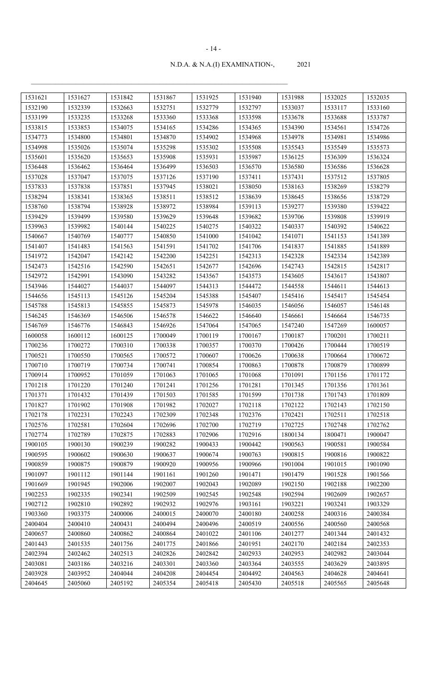| 1531621 | 1531627 | 1531842 | 1531867 | 1531925 | 1531940 | 1531988 | 1532025 | 1532035 |
|---------|---------|---------|---------|---------|---------|---------|---------|---------|
| 1532190 | 1532339 | 1532663 | 1532751 | 1532779 | 1532797 | 1533037 | 1533117 | 1533160 |
| 1533199 | 1533235 | 1533268 | 1533360 | 1533368 | 1533598 | 1533678 | 1533688 | 1533787 |
| 1533815 | 1533853 | 1534075 | 1534165 | 1534286 | 1534365 | 1534390 | 1534561 | 1534726 |
| 1534773 | 1534800 | 1534801 | 1534870 | 1534902 | 1534968 | 1534978 | 1534981 | 1534986 |
| 1534998 | 1535026 | 1535074 | 1535298 | 1535302 | 1535508 | 1535543 | 1535549 | 1535573 |
| 1535601 | 1535620 | 1535653 | 1535908 | 1535931 | 1535987 | 1536125 | 1536309 | 1536324 |
| 1536448 | 1536462 | 1536464 | 1536499 | 1536503 | 1536570 | 1536580 | 1536586 | 1536628 |
| 1537028 | 1537047 | 1537075 | 1537126 | 1537190 | 1537411 | 1537431 | 1537512 | 1537805 |
| 1537833 | 1537838 | 1537851 | 1537945 | 1538021 | 1538050 | 1538163 | 1538269 | 1538279 |
| 1538294 | 1538341 | 1538365 | 1538511 | 1538512 | 1538639 | 1538645 | 1538656 | 1538729 |
| 1538760 | 1538794 | 1538928 | 1538972 | 1538984 | 1539113 | 1539277 | 1539380 | 1539422 |
| 1539429 | 1539499 | 1539580 | 1539629 | 1539648 | 1539682 | 1539706 | 1539808 | 1539919 |
| 1539963 | 1539982 | 1540144 | 1540225 | 1540275 | 1540322 | 1540337 | 1540392 | 1540622 |
| 1540667 | 1540769 | 1540777 | 1540850 | 1541000 | 1541042 | 1541071 | 1541153 | 1541389 |
| 1541407 | 1541483 | 1541563 | 1541591 | 1541702 | 1541706 | 1541837 | 1541885 | 1541889 |
| 1541972 | 1542047 | 1542142 | 1542200 | 1542251 | 1542313 | 1542328 | 1542334 | 1542389 |
| 1542473 | 1542516 | 1542590 | 1542651 | 1542677 | 1542696 | 1542743 | 1542815 | 1542817 |
| 1542972 | 1542991 | 1543090 | 1543282 | 1543567 | 1543573 | 1543605 | 1543617 | 1543807 |
| 1543946 | 1544027 | 1544037 | 1544097 | 1544313 | 1544472 | 1544558 | 1544611 | 1544613 |
| 1544656 | 1545113 | 1545126 | 1545204 | 1545388 | 1545407 | 1545416 | 1545417 | 1545454 |
| 1545788 | 1545813 | 1545855 | 1545873 | 1545978 | 1546035 | 1546056 | 1546057 | 1546148 |
| 1546245 | 1546369 | 1546506 | 1546578 | 1546622 | 1546640 | 1546661 | 1546664 | 1546735 |
| 1546769 | 1546776 | 1546843 | 1546926 | 1547064 | 1547065 | 1547240 | 1547269 | 1600057 |
| 1600058 | 1600112 | 1600125 | 1700049 | 1700119 | 1700167 | 1700187 | 1700201 | 1700211 |
| 1700236 | 1700272 | 1700310 | 1700338 | 1700357 | 1700370 | 1700426 | 1700444 | 1700519 |
| 1700521 | 1700550 | 1700565 | 1700572 | 1700607 | 1700626 | 1700638 | 1700664 | 1700672 |
| 1700710 | 1700719 | 1700734 | 1700741 | 1700854 | 1700863 | 1700878 | 1700879 | 1700899 |
| 1700914 | 1700952 | 1701059 | 1701063 | 1701065 | 1701068 | 1701091 | 1701156 | 1701172 |
| 1701218 | 1701220 | 1701240 | 1701241 | 1701256 | 1701281 | 1701345 | 1701356 | 1701361 |
| 1701371 | 1701432 | 1701439 | 1701503 | 1701585 | 1701599 | 1701738 | 1701743 | 1701809 |
| 1701827 | 1701902 | 1701908 | 1701982 | 1702027 | 1702118 | 1702122 | 1702143 | 1702150 |
| 1702178 | 1702231 | 1702243 | 1702309 | 1702348 | 1702376 | 1702421 | 1702511 | 1702518 |
| 1702576 | 1702581 | 1702604 | 1702696 | 1702700 | 1702719 | 1702725 | 1702748 | 1702762 |
| 1702774 | 1702789 | 1702875 | 1702883 | 1702906 | 1702916 | 1800134 | 1800471 | 1900047 |
| 1900105 | 1900130 | 1900239 | 1900282 | 1900433 | 1900442 | 1900563 | 1900581 | 1900584 |
| 1900595 | 1900602 | 1900630 | 1900637 | 1900674 | 1900763 | 1900815 | 1900816 | 1900822 |
| 1900859 | 1900875 | 1900879 | 1900920 | 1900956 | 1900966 | 1901004 | 1901015 | 1901090 |
| 1901097 | 1901112 | 1901144 | 1901161 | 1901260 | 1901471 | 1901479 | 1901528 | 1901566 |
| 1901669 | 1901945 | 1902006 | 1902007 | 1902043 | 1902089 | 1902150 | 1902188 | 1902200 |
| 1902253 | 1902335 | 1902341 | 1902509 | 1902545 | 1902548 | 1902594 | 1902609 | 1902657 |
| 1902712 | 1902810 | 1902892 | 1902932 | 1902976 | 1903161 | 1903221 | 1903241 | 1903329 |
| 1903360 | 1903375 | 2400006 | 2400015 | 2400070 | 2400180 | 2400258 | 2400316 | 2400384 |
| 2400404 | 2400410 | 2400431 | 2400494 | 2400496 | 2400519 | 2400556 | 2400560 | 2400568 |
| 2400657 | 2400860 | 2400862 | 2400864 | 2401022 | 2401106 | 2401277 | 2401344 | 2401432 |
| 2401443 | 2401535 | 2401756 | 2401775 | 2401866 | 2401951 | 2402170 | 2402184 | 2402353 |
| 2402394 | 2402462 | 2402513 | 2402826 | 2402842 | 2402933 | 2402953 | 2402982 | 2403044 |
| 2403081 | 2403186 | 2403216 | 2403301 | 2403360 | 2403364 | 2403555 | 2403629 | 2403895 |
| 2403928 | 2403952 | 2404044 | 2404208 | 2404454 | 2404492 | 2404563 | 2404628 | 2404641 |
| 2404645 | 2405060 | 2405192 | 2405354 | 2405418 | 2405430 | 2405518 | 2405565 | 2405648 |

#### - 14 -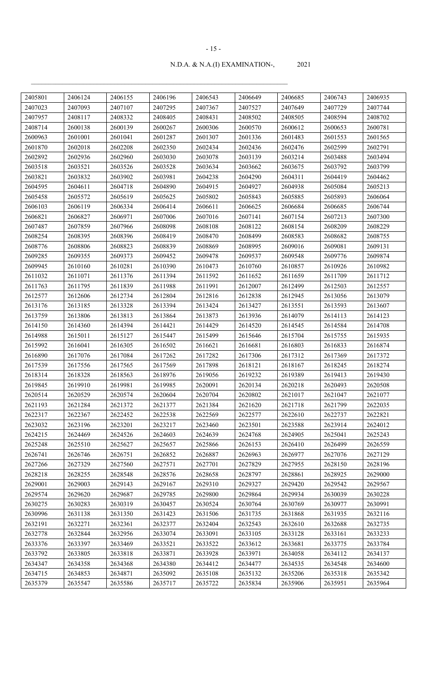| 2405801 | 2406124 | 2406155 | 2406196 | 2406543 | 2406649 | 2406685 | 2406743 | 2406935 |
|---------|---------|---------|---------|---------|---------|---------|---------|---------|
| 2407023 | 2407093 | 2407107 | 2407295 | 2407367 | 2407527 | 2407649 | 2407729 | 2407744 |
| 2407957 | 2408117 | 2408332 | 2408405 | 2408431 | 2408502 | 2408505 | 2408594 | 2408702 |
| 2408714 | 2600138 | 2600139 | 2600267 | 2600306 | 2600570 | 2600612 | 2600653 | 2600781 |
| 2600963 | 2601001 | 2601041 | 2601287 | 2601307 | 2601336 | 2601483 | 2601553 | 2601565 |
| 2601870 | 2602018 | 2602208 | 2602350 | 2602434 | 2602436 | 2602476 | 2602599 | 2602791 |
| 2602892 | 2602936 | 2602960 | 2603030 | 2603078 | 2603139 | 2603214 | 2603488 | 2603494 |
| 2603518 | 2603521 | 2603526 | 2603528 | 2603634 | 2603662 | 2603675 | 2603792 | 2603799 |
| 2603821 | 2603832 | 2603902 | 2603981 | 2604238 | 2604290 | 2604311 | 2604419 | 2604462 |
| 2604595 | 2604611 | 2604718 | 2604890 | 2604915 | 2604927 | 2604938 | 2605084 | 2605213 |
| 2605458 | 2605572 | 2605619 | 2605625 | 2605802 | 2605843 | 2605885 | 2605893 | 2606064 |
| 2606103 | 2606119 | 2606334 | 2606414 | 2606611 | 2606625 | 2606684 | 2606685 | 2606744 |
| 2606821 | 2606827 | 2606971 | 2607006 | 2607016 | 2607141 | 2607154 | 2607213 | 2607300 |
| 2607487 | 2607859 | 2607966 | 2608098 | 2608108 | 2608122 | 2608154 | 2608209 | 2608229 |
| 2608254 | 2608395 | 2608396 | 2608419 | 2608470 | 2608499 | 2608583 | 2608682 | 2608755 |
| 2608776 | 2608806 | 2608823 | 2608839 | 2608869 | 2608995 | 2609016 | 2609081 | 2609131 |
| 2609285 | 2609355 | 2609373 | 2609452 | 2609478 | 2609537 | 2609548 | 2609776 | 2609874 |
| 2609945 | 2610160 | 2610281 | 2610390 | 2610473 | 2610760 | 2610857 | 2610926 | 2610982 |
| 2611032 | 2611071 | 2611376 | 2611394 | 2611592 | 2611652 | 2611659 | 2611709 | 2611712 |
| 2611763 | 2611795 | 2611839 | 2611988 | 2611991 | 2612007 | 2612499 | 2612503 | 2612557 |
| 2612577 | 2612606 | 2612734 | 2612804 | 2612816 | 2612838 | 2612945 | 2613056 | 2613079 |
| 2613176 | 2613185 | 2613328 | 2613394 | 2613424 | 2613427 | 2613551 | 2613593 | 2613607 |
| 2613759 | 2613806 | 2613813 | 2613864 | 2613873 | 2613936 | 2614079 | 2614113 | 2614123 |
| 2614150 | 2614360 | 2614394 | 2614421 | 2614429 | 2614520 | 2614545 | 2614584 | 2614708 |
| 2614988 | 2615011 | 2615127 | 2615447 | 2615499 | 2615646 | 2615704 | 2615755 | 2615935 |
| 2615992 | 2616041 | 2616305 | 2616502 | 2616621 | 2616681 | 2616803 | 2616833 | 2616874 |
| 2616890 | 2617076 | 2617084 | 2617262 | 2617282 | 2617306 | 2617312 | 2617369 | 2617372 |
| 2617539 | 2617556 | 2617565 | 2617569 | 2617898 | 2618121 | 2618167 | 2618245 | 2618274 |
| 2618314 | 2618328 | 2618563 | 2618976 | 2619056 | 2619232 | 2619389 | 2619413 | 2619430 |
| 2619845 | 2619910 | 2619981 | 2619985 | 2620091 | 2620134 | 2620218 | 2620493 | 2620508 |
| 2620514 | 2620529 | 2620574 | 2620604 | 2620704 | 2620802 | 2621017 | 2621047 | 2621077 |
| 2621193 | 2621284 | 2621372 | 2621377 | 2621384 | 2621620 | 2621718 | 2621799 | 2622035 |
| 2622317 | 2622367 | 2622452 | 2622538 | 2622569 | 2622577 | 2622610 | 2622737 | 2622821 |
| 2623032 | 2623196 | 2623201 | 2623217 | 2623460 | 2623501 | 2623588 | 2623914 | 2624012 |
| 2624215 | 2624469 | 2624526 | 2624603 | 2624639 | 2624768 | 2624905 | 2625041 | 2625243 |
| 2625248 | 2625510 | 2625627 | 2625657 | 2625866 | 2626153 | 2626410 | 2626499 | 2626559 |
| 2626741 | 2626746 | 2626751 | 2626852 | 2626887 | 2626963 | 2626977 | 2627076 | 2627129 |
| 2627266 | 2627329 | 2627560 | 2627571 | 2627701 | 2627829 | 2627955 | 2628150 | 2628196 |
| 2628218 | 2628255 | 2628548 | 2628576 | 2628658 | 2628797 | 2628861 | 2628925 | 2629000 |
| 2629001 | 2629003 | 2629143 | 2629167 | 2629310 | 2629327 | 2629420 | 2629542 | 2629567 |
| 2629574 | 2629620 | 2629687 | 2629785 | 2629800 | 2629864 | 2629934 | 2630039 | 2630228 |
| 2630275 | 2630283 | 2630319 | 2630457 | 2630524 | 2630764 | 2630769 | 2630977 | 2630991 |
| 2630996 | 2631138 | 2631350 | 2631423 | 2631506 | 2631735 | 2631868 | 2631935 | 2632116 |
| 2632191 | 2632271 | 2632361 | 2632377 | 2632404 | 2632543 | 2632610 | 2632688 | 2632735 |
| 2632778 | 2632844 | 2632956 | 2633074 | 2633091 | 2633105 | 2633128 | 2633161 | 2633233 |
| 2633376 | 2633397 | 2633469 | 2633521 | 2633522 | 2633612 | 2633681 | 2633775 | 2633784 |
| 2633792 | 2633805 | 2633818 | 2633871 | 2633928 | 2633971 | 2634058 | 2634112 | 2634137 |
| 2634347 | 2634358 | 2634368 | 2634380 | 2634412 | 2634477 | 2634535 | 2634548 | 2634600 |
| 2634715 | 2634853 | 2634871 | 2635092 | 2635108 | 2635132 | 2635206 | 2635318 | 2635342 |
|         | 2635547 |         | 2635717 |         |         | 2635906 |         | 2635964 |
| 2635379 |         | 2635586 |         | 2635722 | 2635834 |         | 2635951 |         |

#### - 15 -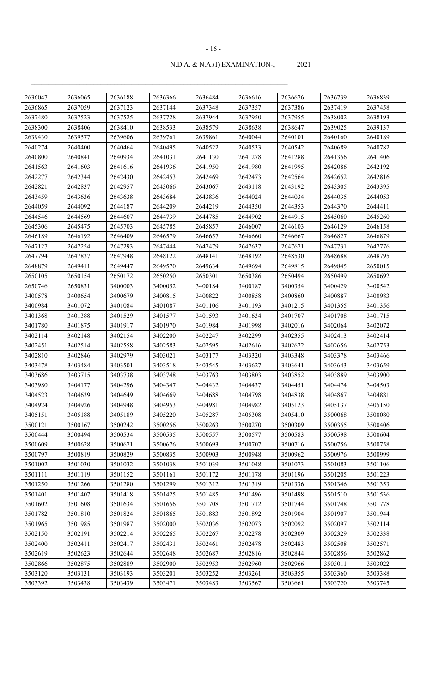| 2636047 | 2636065 | 2636188 | 2636366 | 2636484 | 2636616 | 2636676 | 2636739            | 2636839            |
|---------|---------|---------|---------|---------|---------|---------|--------------------|--------------------|
| 2636865 | 2637059 | 2637123 | 2637144 | 2637348 | 2637357 | 2637386 | 2637419            | 2637458            |
| 2637480 | 2637523 | 2637525 | 2637728 | 2637944 | 2637950 | 2637955 | 2638002            | 2638193            |
| 2638300 | 2638406 | 2638410 | 2638533 | 2638579 | 2638638 | 2638647 | 2639025            | 2639137            |
| 2639430 | 2639577 | 2639606 | 2639761 | 2639861 | 2640044 | 2640101 | 2640160            | 2640189            |
| 2640274 | 2640400 | 2640464 | 2640495 | 2640522 | 2640533 | 2640542 | 2640689            | 2640782            |
| 2640800 | 2640841 | 2640934 | 2641031 | 2641130 | 2641278 | 2641288 | 2641356            | 2641406            |
| 2641563 | 2641603 | 2641616 | 2641936 | 2641950 | 2641980 | 2641995 | 2642086            | 2642192            |
| 2642277 | 2642344 | 2642430 | 2642453 | 2642469 | 2642473 | 2642564 | 2642652            | 2642816            |
| 2642821 | 2642837 | 2642957 | 2643066 | 2643067 | 2643118 | 2643192 | 2643305            | 2643395            |
| 2643459 | 2643636 | 2643638 | 2643684 | 2643836 | 2644024 | 2644034 | 2644035            | 2644053            |
| 2644059 | 2644092 | 2644187 | 2644209 | 2644219 | 2644350 | 2644353 | 2644370            | 2644411            |
| 2644546 | 2644569 | 2644607 | 2644739 | 2644785 | 2644902 | 2644915 | 2645060            | 2645260            |
| 2645306 | 2645475 | 2645703 | 2645785 | 2645857 | 2646007 | 2646103 | 2646129            | 2646158            |
| 2646189 | 2646192 | 2646409 | 2646579 | 2646657 | 2646660 | 2646667 | 2646827            | 2646879            |
| 2647127 | 2647254 | 2647293 | 2647444 | 2647479 | 2647637 | 2647671 | 2647731            | 2647776            |
| 2647794 | 2647837 | 2647948 | 2648122 | 2648141 | 2648192 | 2648530 | 2648688            | 2648795            |
| 2648879 | 2649411 | 2649447 | 2649570 | 2649634 | 2649694 | 2649815 | 2649845            | 2650015            |
| 2650105 | 2650154 | 2650172 | 2650250 | 2650301 | 2650386 | 2650494 | 2650499            | 2650692            |
| 2650746 | 2650831 | 3400003 | 3400052 | 3400184 | 3400187 | 3400354 | 3400429            | 3400542            |
| 3400578 | 3400654 | 3400679 | 3400815 | 3400822 | 3400858 | 3400860 | 3400887            | 3400983            |
| 3400984 | 3401072 | 3401084 | 3401087 | 3401106 | 3401193 | 3401215 | 3401355            | 3401356            |
| 3401368 | 3401388 | 3401529 | 3401577 | 3401593 | 3401634 | 3401707 | 3401708            | 3401715            |
| 3401780 | 3401875 | 3401917 | 3401970 | 3401984 | 3401998 | 3402016 | 3402064            | 3402072            |
| 3402114 | 3402148 | 3402154 | 3402200 | 3402247 | 3402299 | 3402355 | 3402413            | 3402414            |
| 3402451 | 3402514 | 3402558 | 3402583 | 3402595 | 3402616 | 3402622 | 3402656            | 3402753            |
| 3402810 | 3402846 | 3402979 | 3403021 | 3403177 | 3403320 | 3403348 | 3403378            | 3403466            |
| 3403478 | 3403484 | 3403501 | 3403518 | 3403545 | 3403627 | 3403641 | 3403643            | 3403659            |
| 3403686 | 3403715 | 3403738 | 3403748 | 3403763 | 3403803 | 3403852 | 3403889            | 3403900            |
| 3403980 | 3404177 | 3404296 | 3404347 | 3404432 | 3404437 | 3404451 | 3404474            | 3404503            |
| 3404523 | 3404639 | 3404649 | 3404669 | 3404688 | 3404798 | 3404838 | 3404867            | 3404881            |
| 3404924 | 3404926 | 3404948 | 3404953 | 3404981 | 3404982 | 3405123 | 3405137            | 3405150            |
| 3405151 | 3405188 | 3405189 | 3405220 | 3405287 | 3405308 | 3405410 | 3500068            | 3500080            |
| 3500121 | 3500167 | 3500242 | 3500256 | 3500263 | 3500270 | 3500309 | 3500355            | 3500406            |
| 3500444 | 3500494 | 3500534 | 3500535 | 3500557 | 3500577 | 3500583 | 3500598            | 3500604            |
| 3500609 | 3500628 | 3500671 | 3500676 | 3500693 | 3500707 | 3500716 | 3500756            | 3500758            |
| 3500797 | 3500819 | 3500829 | 3500835 | 3500903 | 3500948 | 3500962 | 3500976            | 3500999            |
| 3501002 | 3501030 | 3501032 | 3501038 | 3501039 | 3501048 | 3501073 | 3501083            | 3501106            |
| 3501111 | 3501119 | 3501152 | 3501161 | 3501172 | 3501178 | 3501196 | 3501205            | 3501223            |
| 3501250 | 3501266 | 3501280 | 3501299 | 3501312 | 3501319 | 3501336 | 3501346            | 3501353            |
| 3501401 | 3501407 | 3501418 | 3501425 | 3501485 | 3501496 | 3501498 | 3501510            | 3501536            |
| 3501602 | 3501608 | 3501634 | 3501656 | 3501708 | 3501712 | 3501744 | 3501748            | 3501778            |
| 3501782 | 3501810 | 3501824 | 3501865 | 3501883 | 3501892 | 3501904 | 3501907            | 3501944            |
| 3501965 | 3501985 | 3501987 | 3502000 | 3502036 | 3502073 | 3502092 | 3502097            | 3502114            |
| 3502150 | 3502191 | 3502214 | 3502265 | 3502267 | 3502278 | 3502309 |                    |                    |
| 3502400 | 3502411 | 3502417 | 3502431 | 3502461 | 3502478 | 3502483 | 3502329<br>3502508 | 3502338<br>3502571 |
| 3502619 |         |         | 3502648 | 3502687 | 3502816 | 3502844 |                    |                    |
|         | 3502623 | 3502644 |         |         |         |         | 3502856            | 3502862            |
| 3502866 | 3502875 | 3502889 | 3502900 | 3502953 | 3502960 | 3502966 | 3503011            | 3503022            |
| 3503120 | 3503131 | 3503193 | 3503201 | 3503252 | 3503261 | 3503355 | 3503360            | 3503388            |
| 3503392 | 3503438 | 3503439 | 3503471 | 3503483 | 3503567 | 3503661 | 3503720            | 3503745            |

#### - 16 -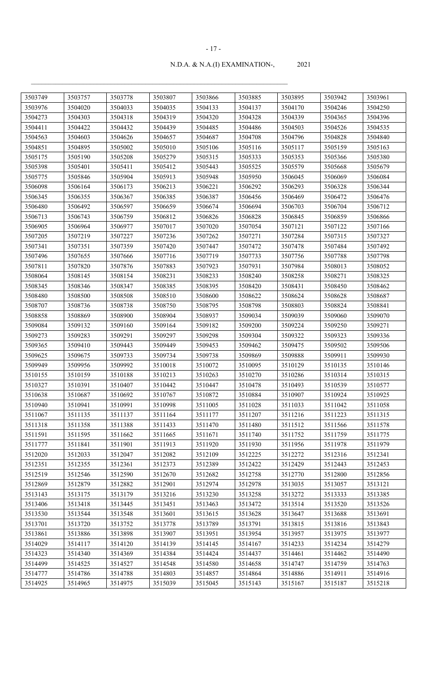| 3503749 | 3503757 | 3503778 | 3503807 | 3503866 | 3503885 | 3503895 | 3503942 | 3503961 |
|---------|---------|---------|---------|---------|---------|---------|---------|---------|
| 3503976 | 3504020 | 3504033 | 3504035 | 3504133 | 3504137 | 3504170 | 3504246 | 3504250 |
| 3504273 | 3504303 | 3504318 | 3504319 | 3504320 | 3504328 | 3504339 | 3504365 | 3504396 |
| 3504411 | 3504422 | 3504432 | 3504439 | 3504485 | 3504486 | 3504503 | 3504526 | 3504535 |
| 3504563 | 3504603 | 3504626 | 3504657 | 3504687 | 3504708 | 3504796 | 3504828 | 3504840 |
| 3504851 | 3504895 | 3505002 | 3505010 | 3505106 | 3505116 | 3505117 | 3505159 | 3505163 |
| 3505175 | 3505190 | 3505208 | 3505279 | 3505315 | 3505333 | 3505353 | 3505366 | 3505380 |
| 3505398 | 3505401 | 3505411 | 3505412 | 3505443 | 3505525 | 3505579 | 3505668 | 3505679 |
| 3505775 | 3505846 | 3505904 | 3505913 | 3505948 | 3505950 | 3506045 | 3506069 | 3506084 |
| 3506098 | 3506164 | 3506173 | 3506213 | 3506221 | 3506292 | 3506293 | 3506328 | 3506344 |
| 3506345 | 3506355 | 3506367 | 3506385 | 3506387 | 3506456 | 3506469 | 3506472 | 3506476 |
| 3506480 | 3506492 | 3506597 | 3506659 | 3506674 | 3506694 | 3506703 | 3506704 | 3506712 |
| 3506713 | 3506743 | 3506759 | 3506812 | 3506826 | 3506828 | 3506845 | 3506859 | 3506866 |
| 3506905 | 3506964 | 3506977 | 3507017 | 3507020 | 3507054 | 3507121 | 3507122 | 3507166 |
| 3507205 | 3507219 | 3507227 | 3507236 | 3507262 | 3507271 | 3507284 | 3507315 | 3507327 |
| 3507341 | 3507351 | 3507359 | 3507420 | 3507447 | 3507472 | 3507478 | 3507484 | 3507492 |
| 3507496 | 3507655 | 3507666 | 3507716 | 3507719 | 3507733 | 3507756 | 3507788 | 3507798 |
| 3507811 | 3507820 | 3507876 | 3507883 | 3507923 | 3507931 | 3507984 | 3508013 | 3508052 |
| 3508064 | 3508145 | 3508154 | 3508231 | 3508233 | 3508240 | 3508258 | 3508271 | 3508325 |
| 3508345 | 3508346 | 3508347 | 3508385 | 3508395 | 3508420 | 3508431 | 3508450 | 3508462 |
| 3508480 | 3508500 | 3508508 | 3508510 | 3508600 | 3508622 | 3508624 | 3508628 | 3508687 |
| 3508707 | 3508736 | 3508738 | 3508750 | 3508795 | 3508798 | 3508803 | 3508824 | 3508841 |
| 3508858 | 3508869 | 3508900 | 3508904 | 3508937 | 3509034 | 3509039 | 3509060 | 3509070 |
| 3509084 | 3509132 | 3509160 | 3509164 | 3509182 | 3509200 | 3509224 | 3509250 | 3509271 |
| 3509273 | 3509283 | 3509291 | 3509297 | 3509298 | 3509304 | 3509322 | 3509323 | 3509336 |
| 3509365 | 3509410 | 3509443 | 3509449 | 3509453 | 3509462 | 3509475 | 3509502 | 3509506 |
| 3509625 | 3509675 | 3509733 | 3509734 | 3509738 | 3509869 | 3509888 | 3509911 | 3509930 |
| 3509949 | 3509956 | 3509992 | 3510018 | 3510072 | 3510095 | 3510129 | 3510135 | 3510146 |
| 3510155 | 3510159 | 3510188 | 3510213 | 3510263 | 3510270 | 3510286 | 3510314 | 3510315 |
| 3510327 | 3510391 | 3510407 | 3510442 | 3510447 | 3510478 | 3510493 | 3510539 | 3510577 |
| 3510638 | 3510687 | 3510692 | 3510767 | 3510872 | 3510884 | 3510907 | 3510924 | 3510925 |
| 3510940 | 3510941 | 3510991 | 3510998 | 3511005 | 3511028 | 3511033 | 3511042 | 3511058 |
| 3511067 | 3511135 | 3511137 | 3511164 | 3511177 | 3511207 | 3511216 | 3511223 | 3511315 |
| 3511318 | 3511358 | 3511388 | 3511433 | 3511470 | 3511480 | 3511512 | 3511566 | 3511578 |
| 3511591 | 3511595 | 3511662 | 3511665 | 3511671 | 3511740 | 3511752 | 3511759 | 3511775 |
| 3511777 | 3511841 | 3511901 | 3511913 | 3511920 | 3511930 | 3511956 | 3511978 | 3511979 |
| 3512020 | 3512033 | 3512047 | 3512082 | 3512109 | 3512225 | 3512272 | 3512316 | 3512341 |
| 3512351 | 3512355 | 3512361 | 3512373 | 3512389 | 3512422 | 3512429 | 3512443 | 3512453 |
| 3512519 | 3512546 | 3512590 | 3512670 | 3512682 | 3512758 | 3512770 | 3512800 | 3512856 |
| 3512869 | 3512879 | 3512882 | 3512901 | 3512974 | 3512978 | 3513035 | 3513057 | 3513121 |
| 3513143 | 3513175 | 3513179 | 3513216 | 3513230 | 3513258 | 3513272 | 3513333 | 3513385 |
| 3513406 | 3513418 | 3513445 | 3513451 | 3513463 | 3513472 | 3513514 | 3513520 | 3513526 |
| 3513530 | 3513544 | 3513548 | 3513601 | 3513615 | 3513628 | 3513647 | 3513688 | 3513691 |
| 3513701 | 3513720 | 3513752 | 3513778 | 3513789 | 3513791 | 3513815 | 3513816 | 3513843 |
| 3513861 | 3513886 | 3513898 | 3513907 | 3513951 | 3513954 | 3513957 | 3513975 | 3513977 |
| 3514029 | 3514117 | 3514120 | 3514139 | 3514145 | 3514167 | 3514233 | 3514234 | 3514279 |
| 3514323 | 3514340 | 3514369 | 3514384 | 3514424 | 3514437 | 3514461 | 3514462 | 3514490 |
| 3514499 | 3514525 | 3514527 | 3514548 | 3514580 | 3514658 | 3514747 | 3514759 | 3514763 |
| 3514777 | 3514786 | 3514788 | 3514803 | 3514857 | 3514864 | 3514886 | 3514911 | 3514916 |
| 3514925 | 3514965 | 3514975 | 3515039 | 3515045 | 3515143 | 3515167 | 3515187 | 3515218 |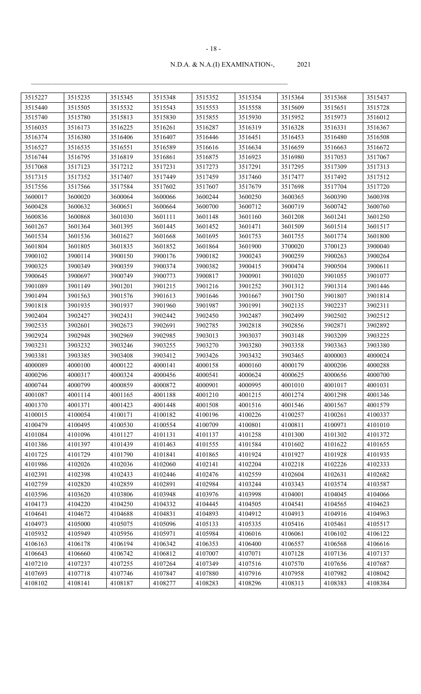| 3515227 | 3515235 | 3515345 | 3515348 | 3515352 | 3515354 | 3515364 | 3515368 | 3515437 |
|---------|---------|---------|---------|---------|---------|---------|---------|---------|
| 3515440 | 3515505 | 3515532 | 3515543 | 3515553 | 3515558 | 3515609 | 3515651 | 3515728 |
| 3515740 | 3515780 | 3515813 | 3515830 | 3515855 | 3515930 | 3515952 | 3515973 | 3516012 |
| 3516035 | 3516173 | 3516225 | 3516261 | 3516287 | 3516319 | 3516328 | 3516331 | 3516367 |
| 3516374 | 3516380 | 3516406 | 3516407 | 3516446 | 3516451 | 3516453 | 3516480 | 3516508 |
| 3516527 | 3516535 | 3516551 | 3516589 | 3516616 | 3516634 | 3516659 | 3516663 | 3516672 |
| 3516744 | 3516795 | 3516819 | 3516861 | 3516875 | 3516923 | 3516980 | 3517053 | 3517067 |
| 3517068 | 3517123 | 3517212 | 3517231 | 3517273 | 3517291 | 3517295 | 3517309 | 3517313 |
| 3517315 | 3517352 | 3517407 | 3517449 | 3517459 | 3517460 | 3517477 | 3517492 | 3517512 |
| 3517556 | 3517566 | 3517584 | 3517602 | 3517607 | 3517679 | 3517698 | 3517704 | 3517720 |
| 3600017 | 3600020 | 3600064 | 3600066 | 3600244 | 3600250 | 3600365 | 3600390 | 3600398 |
| 3600428 | 3600632 | 3600651 | 3600664 | 3600700 | 3600712 | 3600719 | 3600742 | 3600760 |
| 3600836 | 3600868 | 3601030 | 3601111 | 3601148 | 3601160 | 3601208 | 3601241 | 3601250 |
| 3601267 | 3601364 | 3601395 | 3601445 | 3601452 | 3601471 | 3601509 | 3601514 | 3601517 |
| 3601534 | 3601536 | 3601627 | 3601668 | 3601695 | 3601753 | 3601755 | 3601774 | 3601800 |
| 3601804 | 3601805 | 3601835 | 3601852 | 3601864 | 3601900 | 3700020 | 3700123 | 3900040 |
| 3900102 | 3900114 | 3900150 | 3900176 | 3900182 | 3900243 | 3900259 | 3900263 | 3900264 |
| 3900325 | 3900349 | 3900359 | 3900374 | 3900382 | 3900415 | 3900474 | 3900504 | 3900611 |
| 3900645 | 3900697 | 3900749 | 3900773 | 3900817 | 3900901 | 3901020 | 3901055 | 3901077 |
| 3901089 | 3901149 | 3901201 | 3901215 | 3901216 | 3901252 | 3901312 | 3901314 | 3901446 |
| 3901494 | 3901563 | 3901576 | 3901613 | 3901646 | 3901667 | 3901750 | 3901807 | 3901814 |
| 3901818 | 3901935 | 3901937 | 3901960 | 3901987 | 3901991 | 3902135 | 3902237 | 3902311 |
| 3902404 | 3902427 | 3902431 | 3902442 | 3902450 | 3902487 | 3902499 | 3902502 | 3902512 |
| 3902535 | 3902601 | 3902673 | 3902691 | 3902785 | 3902818 | 3902856 | 3902871 | 3902892 |
| 3902924 | 3902948 | 3902969 | 3902985 | 3903013 | 3903037 | 3903148 | 3903209 | 3903225 |
| 3903231 | 3903232 | 3903246 | 3903255 | 3903270 | 3903280 | 3903358 | 3903363 | 3903380 |
| 3903381 | 3903385 | 3903408 | 3903412 | 3903426 | 3903432 | 3903465 | 4000003 | 4000024 |
| 4000089 | 4000100 | 4000122 | 4000141 | 4000158 | 4000160 | 4000179 | 4000206 | 4000288 |
| 4000296 | 4000317 | 4000324 | 4000456 | 4000541 | 4000624 | 4000625 | 4000656 | 4000700 |
| 4000744 | 4000799 | 4000859 | 4000872 | 4000901 | 4000995 | 4001010 | 4001017 | 4001031 |
| 4001087 | 4001114 | 4001165 | 4001188 | 4001210 | 4001215 | 4001274 | 4001298 | 4001346 |
| 4001370 | 4001371 | 4001423 | 4001448 | 4001508 | 4001516 | 4001546 | 4001567 | 4001579 |
| 4100015 | 4100054 | 4100171 | 4100182 | 4100196 | 4100226 | 4100257 | 4100261 | 4100337 |
| 4100479 | 4100495 | 4100530 | 4100554 | 4100709 | 4100801 | 4100811 | 4100971 | 4101010 |
| 4101084 | 4101096 | 4101127 | 4101131 | 4101137 | 4101258 | 4101300 | 4101302 | 4101372 |
| 4101386 | 4101397 | 4101439 | 4101463 | 4101555 | 4101584 | 4101602 | 4101622 | 4101655 |
| 4101725 | 4101729 | 4101790 | 4101841 | 4101865 | 4101924 | 4101927 | 4101928 | 4101935 |
| 4101986 | 4102026 | 4102036 | 4102060 | 4102141 | 4102204 | 4102218 | 4102226 | 4102333 |
| 4102391 | 4102398 | 4102433 | 4102446 | 4102476 | 4102559 | 4102604 | 4102631 | 4102682 |
| 4102759 | 4102820 | 4102859 | 4102891 | 4102984 | 4103244 | 4103343 | 4103574 | 4103587 |
| 4103596 | 4103620 | 4103806 | 4103948 | 4103976 | 4103998 | 4104001 | 4104045 | 4104066 |
| 4104173 | 4104220 | 4104250 | 4104332 | 4104445 | 4104505 | 4104541 | 4104565 | 4104623 |
| 4104641 | 4104672 | 4104688 | 4104831 | 4104893 | 4104912 | 4104913 | 4104916 | 4104963 |
| 4104973 | 4105000 | 4105075 | 4105096 | 4105133 | 4105335 | 4105416 | 4105461 | 4105517 |
| 4105932 | 4105949 | 4105956 | 4105971 | 4105984 | 4106016 | 4106061 | 4106102 | 4106122 |
| 4106163 | 4106178 | 4106194 | 4106342 | 4106353 | 4106400 | 4106557 | 4106568 | 4106616 |
| 4106643 | 4106660 | 4106742 | 4106812 | 4107007 | 4107071 | 4107128 | 4107136 | 4107137 |
| 4107210 | 4107237 | 4107255 | 4107264 | 4107349 | 4107516 | 4107570 | 4107656 | 4107687 |
| 4107693 | 4107718 | 4107746 | 4107847 | 4107880 | 4107916 | 4107958 | 4107982 | 4108042 |
| 4108102 | 4108141 | 4108187 | 4108277 | 4108283 | 4108296 | 4108313 | 4108383 | 4108384 |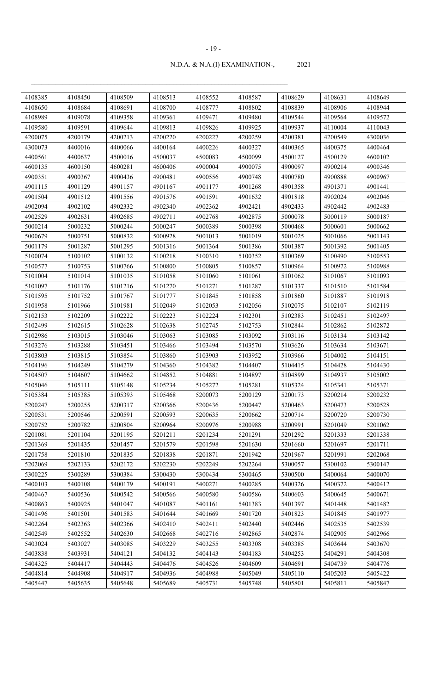| 4108385 | 4108450 | 4108509 | 4108513 | 4108552 | 4108587 | 4108629 | 4108631 | 4108649 |
|---------|---------|---------|---------|---------|---------|---------|---------|---------|
| 4108650 | 4108684 | 4108691 | 4108700 | 4108777 | 4108802 | 4108839 | 4108906 | 4108944 |
| 4108989 | 4109078 | 4109358 | 4109361 | 4109471 | 4109480 | 4109544 | 4109564 | 4109572 |
| 4109580 | 4109591 | 4109644 | 4109813 | 4109826 | 4109925 | 4109937 | 4110004 | 4110043 |
| 4200075 | 4200179 | 4200213 | 4200220 | 4200227 | 4200259 | 4200381 | 4200549 | 4300036 |
| 4300073 | 4400016 | 4400066 | 4400164 | 4400226 | 4400327 | 4400365 | 4400375 | 4400464 |
| 4400561 | 4400637 | 4500016 | 4500037 | 4500083 | 4500099 | 4500127 | 4500129 | 4600102 |
| 4600135 | 4600150 | 4600281 | 4600406 | 4900004 | 4900075 | 4900097 | 4900214 | 4900346 |
| 4900351 | 4900367 | 4900436 | 4900481 | 4900556 | 4900748 | 4900780 | 4900888 | 4900967 |
| 4901115 | 4901129 | 4901157 | 4901167 | 4901177 | 4901268 | 4901358 | 4901371 | 4901441 |
| 4901504 | 4901512 | 4901556 | 4901576 | 4901591 | 4901632 | 4901818 | 4902024 | 4902046 |
| 4902094 | 4902102 | 4902332 | 4902340 | 4902362 | 4902421 | 4902433 | 4902442 | 4902483 |
| 4902529 | 4902631 | 4902685 | 4902711 | 4902768 | 4902875 | 5000078 | 5000119 | 5000187 |
| 5000214 | 5000232 | 5000244 | 5000247 | 5000389 | 5000398 | 5000468 | 5000601 | 5000662 |
| 5000679 | 5000751 | 5000832 | 5000928 | 5001013 | 5001019 | 5001025 | 5001066 | 5001143 |
| 5001179 | 5001287 | 5001295 | 5001316 | 5001364 | 5001386 | 5001387 | 5001392 | 5001405 |
| 5100074 | 5100102 | 5100132 | 5100218 | 5100310 | 5100352 | 5100369 | 5100490 | 5100553 |
| 5100577 | 5100753 | 5100766 | 5100800 | 5100805 | 5100857 | 5100964 | 5100972 | 5100988 |
| 5101004 | 5101014 | 5101035 | 5101058 | 5101060 | 5101061 | 5101062 | 5101067 | 5101093 |
| 5101097 | 5101176 | 5101216 | 5101270 | 5101271 | 5101287 | 5101337 | 5101510 | 5101584 |
| 5101595 | 5101752 | 5101767 | 5101777 | 5101845 | 5101858 | 5101860 | 5101887 | 5101918 |
| 5101958 | 5101966 | 5101981 | 5102049 | 5102053 | 5102056 | 5102075 | 5102107 | 5102119 |
| 5102153 | 5102209 | 5102222 | 5102223 | 5102224 | 5102301 | 5102383 | 5102451 | 5102497 |
| 5102499 | 5102615 | 5102628 | 5102638 | 5102745 | 5102753 | 5102844 | 5102862 | 5102872 |
| 5102986 | 5103015 | 5103046 | 5103063 | 5103085 | 5103092 | 5103116 | 5103134 | 5103142 |
| 5103276 | 5103288 | 5103451 | 5103466 | 5103494 | 5103570 | 5103626 | 5103634 | 5103671 |
| 5103803 | 5103815 | 5103854 | 5103860 | 5103903 | 5103952 | 5103966 | 5104002 | 5104151 |
| 5104196 | 5104249 | 5104279 | 5104360 | 5104382 | 5104407 | 5104415 | 5104428 | 5104430 |
| 5104507 | 5104607 | 5104662 | 5104852 | 5104881 | 5104897 | 5104899 | 5104937 | 5105002 |
| 5105046 | 5105111 | 5105148 | 5105234 | 5105272 | 5105281 | 5105324 | 5105341 | 5105371 |
| 5105384 | 5105385 | 5105393 | 5105468 | 5200073 | 5200129 | 5200173 | 5200214 | 5200232 |
| 5200247 | 5200255 | 5200317 | 5200366 | 5200436 | 5200447 | 5200463 | 5200473 | 5200528 |
| 5200531 | 5200546 | 5200591 | 5200593 | 5200635 | 5200662 | 5200714 | 5200720 | 5200730 |
| 5200752 | 5200782 | 5200804 | 5200964 | 5200976 | 5200988 | 5200991 | 5201049 | 5201062 |
| 5201081 | 5201104 | 5201195 | 5201211 | 5201234 | 5201291 | 5201292 | 5201333 | 5201338 |
| 5201369 | 5201435 | 5201457 | 5201579 | 5201598 | 5201630 | 5201660 | 5201697 | 5201711 |
| 5201758 | 5201810 | 5201835 | 5201838 | 5201871 | 5201942 | 5201967 | 5201991 | 5202068 |
| 5202069 | 5202133 | 5202172 | 5202230 | 5202249 | 5202264 | 5300057 | 5300102 | 5300147 |
| 5300225 | 5300289 | 5300384 | 5300430 | 5300434 | 5300465 | 5300500 | 5400064 | 5400070 |
| 5400103 | 5400108 | 5400179 | 5400191 | 5400271 | 5400285 | 5400326 | 5400372 | 5400412 |
| 5400467 | 5400536 | 5400542 | 5400566 | 5400580 | 5400586 | 5400603 | 5400645 | 5400671 |
| 5400863 | 5400925 | 5401047 | 5401087 | 5401161 | 5401383 | 5401397 | 5401448 | 5401482 |
| 5401496 | 5401501 | 5401583 | 5401644 | 5401669 | 5401720 | 5401823 | 5401845 | 5401977 |
| 5402264 | 5402363 | 5402366 | 5402410 | 5402411 | 5402440 | 5402446 | 5402535 | 5402539 |
| 5402549 | 5402552 | 5402630 | 5402668 | 5402716 | 5402865 | 5402874 | 5402905 | 5402966 |
| 5403024 | 5403027 | 5403085 | 5403229 | 5403255 | 5403308 | 5403385 | 5403644 | 5403670 |
| 5403838 | 5403931 | 5404121 | 5404132 | 5404143 | 5404183 | 5404253 | 5404291 | 5404308 |
| 5404325 | 5404417 | 5404443 | 5404476 | 5404526 | 5404609 | 5404691 | 5404739 | 5404776 |
| 5404814 | 5404908 | 5404917 | 5404936 | 5404988 | 5405049 | 5405110 | 5405203 | 5405422 |
| 5405447 | 5405635 | 5405648 | 5405689 | 5405731 | 5405748 | 5405801 | 5405811 | 5405847 |
|         |         |         |         |         |         |         |         |         |